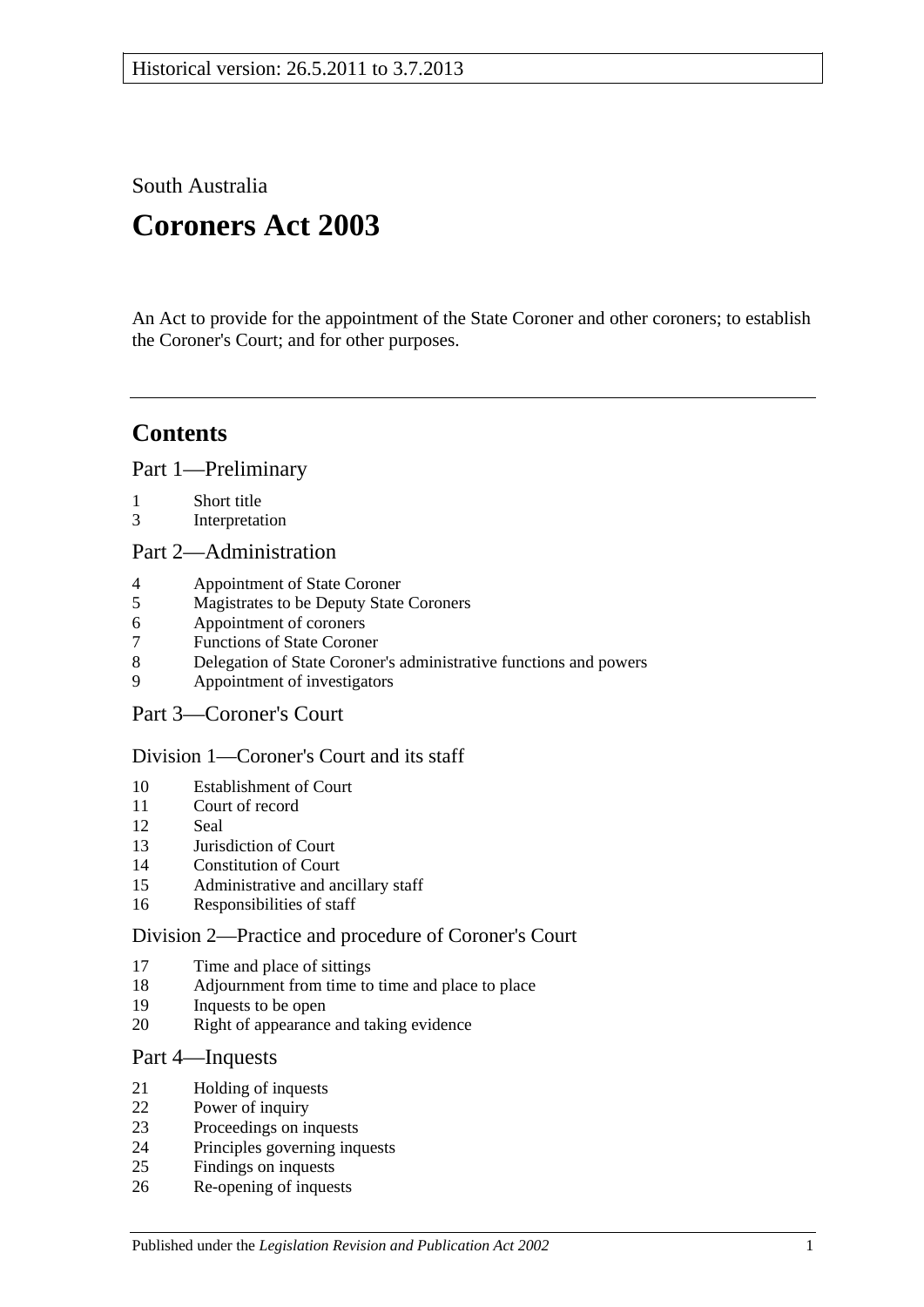South Australia

# **Coroners Act 2003**

An Act to provide for the appointment of the State Coroner and other coroners; to establish the Coroner's Court; and for other purposes.

# **Contents**

[Part 1—Preliminary](#page-1-0)

- [Short title](#page-1-1)
- [Interpretation](#page-1-2)

#### [Part 2—Administration](#page-4-0)

- [Appointment of State Coroner](#page-4-1)
- [Magistrates to be Deputy State Coroners](#page-4-2)
- [Appointment of coroners](#page-4-3)
- [Functions of State Coroner](#page-5-0)
- [Delegation of State Coroner's administrative functions and powers](#page-5-1)
- [Appointment of investigators](#page-5-2)
- [Part 3—Coroner's Court](#page-5-3)

#### [Division 1—Coroner's Court and its staff](#page-5-4)

- [Establishment of Court](#page-5-5)
- [Court of record](#page-6-0)<br>12 Seal
- [Seal](#page-6-1)
- [Jurisdiction of Court](#page-6-2)
- [Constitution of Court](#page-6-3)
- [Administrative and ancillary staff](#page-6-4)
- [Responsibilities of staff](#page-6-5)

#### [Division 2—Practice and procedure of Coroner's Court](#page-6-6)

- [Time and place of sittings](#page-6-7)
- [Adjournment from time to time and place to place](#page-6-8)
- [Inquests to be open](#page-7-0)
- [Right of appearance and taking evidence](#page-7-1)

#### [Part 4—Inquests](#page-7-2)

- [Holding of inquests](#page-7-3)
- [Power of inquiry](#page-8-0)
- [Proceedings on inquests](#page-9-0)
- [Principles governing inquests](#page-10-0)
- [Findings on inquests](#page-10-1)
- [Re-opening of inquests](#page-11-0)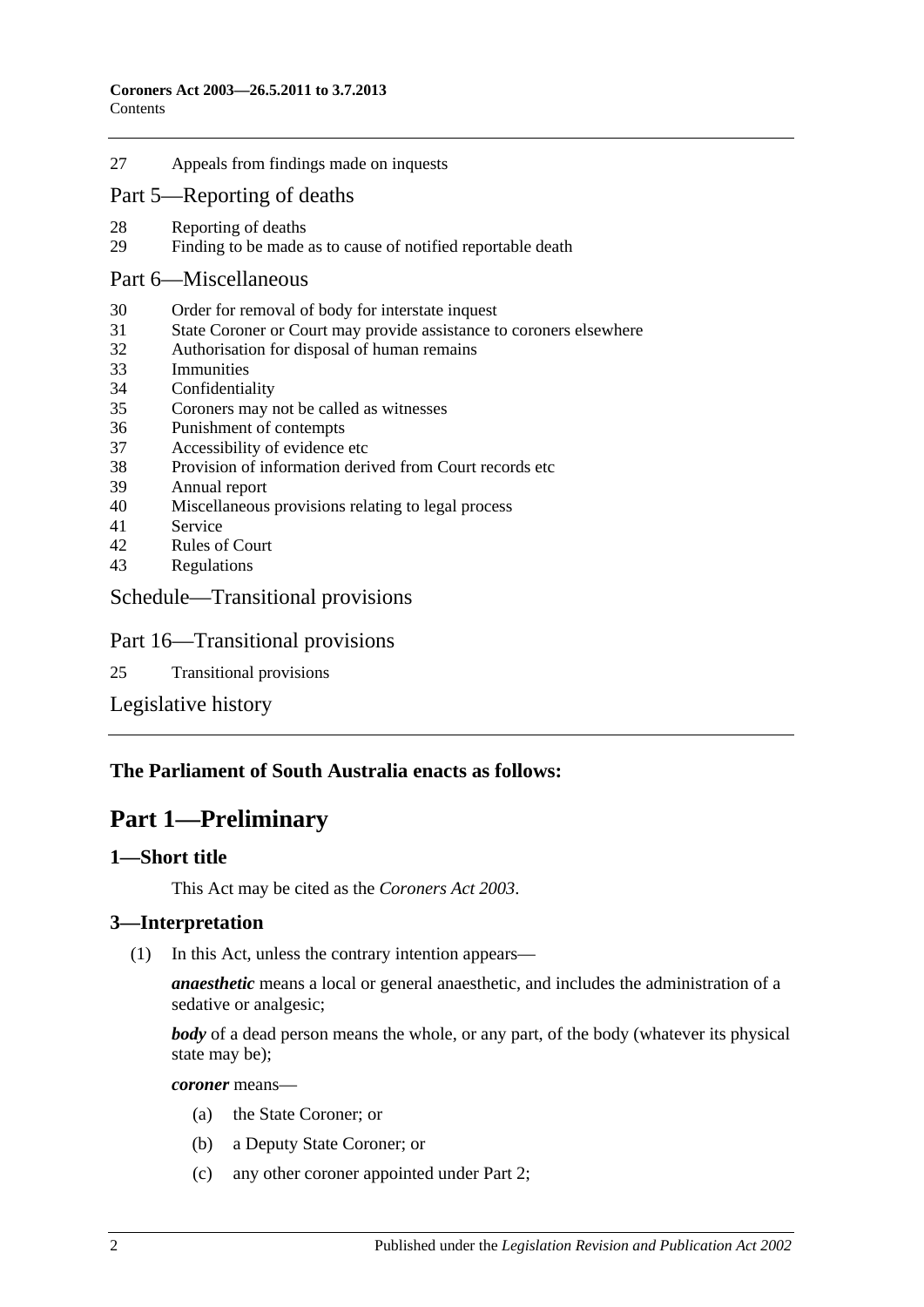27 [Appeals from findings made on inquests](#page-11-1)

#### [Part 5—Reporting of deaths](#page-12-0)

- 28 [Reporting of deaths](#page-12-1)<br>29 Finding to be made
- [Finding to be made as to cause of notified reportable death](#page-12-2)

#### [Part 6—Miscellaneous](#page-12-3)

- 30 [Order for removal of body for interstate inquest](#page-12-4)
- 31 [State Coroner or Court may provide assistance to coroners elsewhere](#page-13-0)
- 32 [Authorisation for disposal of human remains](#page-13-1)
- 33 [Immunities](#page-13-2)
- 34 [Confidentiality](#page-13-3)
- 35 [Coroners may not be called as](#page-13-4) witnesses
- 36 [Punishment of contempts](#page-14-0)
- 37 [Accessibility of evidence etc](#page-14-1)
- 38 [Provision of information derived from Court records etc](#page-14-2)
- 39 [Annual report](#page-15-0)
- 40 [Miscellaneous provisions relating to legal process](#page-15-1)
- 41 [Service](#page-15-2)
- 42 [Rules of Court](#page-15-3)
- 43 [Regulations](#page-15-4)

#### [Schedule—Transitional provisions](#page-16-0)

#### Part 16—Transitional provisions

25 [Transitional provisions](#page-16-1)

[Legislative history](#page-17-0)

#### <span id="page-1-0"></span>**The Parliament of South Australia enacts as follows:**

## **Part 1—Preliminary**

#### <span id="page-1-1"></span>**1—Short title**

This Act may be cited as the *Coroners Act 2003*.

#### <span id="page-1-2"></span>**3—Interpretation**

(1) In this Act, unless the contrary intention appears—

*anaesthetic* means a local or general anaesthetic, and includes the administration of a sedative or analgesic;

*body* of a dead person means the whole, or any part, of the body (whatever its physical state may be);

*coroner* means—

- (a) the State Coroner; or
- (b) a Deputy State Coroner; or
- (c) any other coroner appointed under [Part 2;](#page-4-0)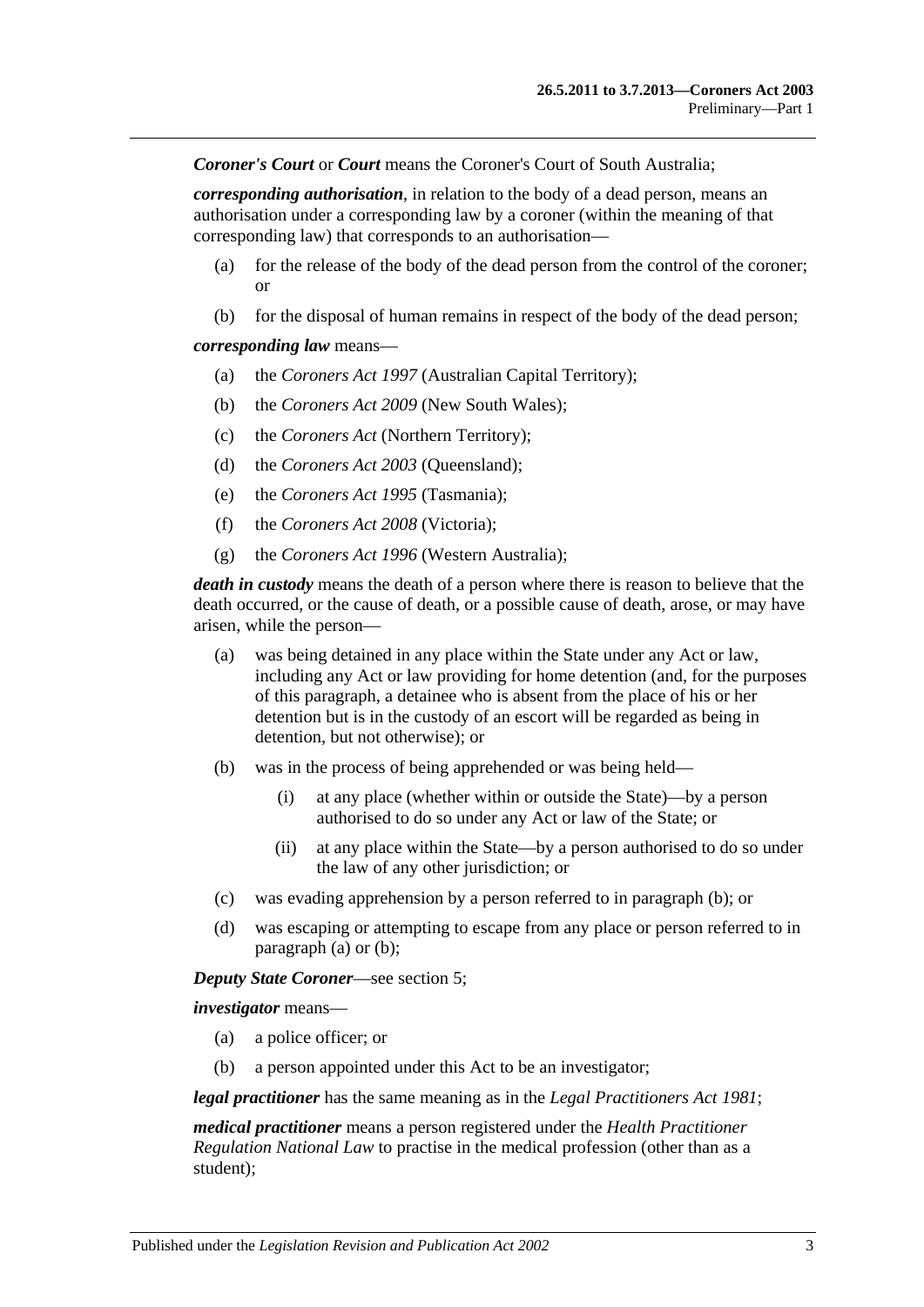*Coroner's Court* or *Court* means the Coroner's Court of South Australia;

*corresponding authorisation*, in relation to the body of a dead person, means an authorisation under a corresponding law by a coroner (within the meaning of that corresponding law) that corresponds to an authorisation—

- (a) for the release of the body of the dead person from the control of the coroner; or
- (b) for the disposal of human remains in respect of the body of the dead person;

#### *corresponding law* means—

- (a) the *Coroners Act 1997* (Australian Capital Territory);
- (b) the *Coroners Act 2009* (New South Wales);
- (c) the *Coroners Act* (Northern Territory);
- (d) the *Coroners Act 2003* (Queensland);
- (e) the *Coroners Act 1995* (Tasmania);
- (f) the *Coroners Act 2008* (Victoria);
- (g) the *Coroners Act 1996* (Western Australia);

<span id="page-2-1"></span>*death in custody* means the death of a person where there is reason to believe that the death occurred, or the cause of death, or a possible cause of death, arose, or may have arisen, while the person—

- (a) was being detained in any place within the State under any Act or law, including any Act or law providing for home detention (and, for the purposes of this paragraph, a detainee who is absent from the place of his or her detention but is in the custody of an escort will be regarded as being in detention, but not otherwise); or
- <span id="page-2-0"></span>(b) was in the process of being apprehended or was being held—
	- (i) at any place (whether within or outside the State)—by a person authorised to do so under any Act or law of the State; or
	- (ii) at any place within the State—by a person authorised to do so under the law of any other jurisdiction; or
- (c) was evading apprehension by a person referred to in [paragraph](#page-2-0) (b); or
- (d) was escaping or attempting to escape from any place or person referred to in [paragraph](#page-2-1) (a) or [\(b\);](#page-2-0)

#### *Deputy State Coroner*—see [section](#page-4-2) 5;

*investigator* means—

- (a) a police officer; or
- (b) a person appointed under this Act to be an investigator;

*legal practitioner* has the same meaning as in the *[Legal Practitioners Act](http://www.legislation.sa.gov.au/index.aspx?action=legref&type=act&legtitle=Legal%20Practitioners%20Act%201981) 1981*;

*medical practitioner* means a person registered under the *Health Practitioner Regulation National Law* to practise in the medical profession (other than as a student);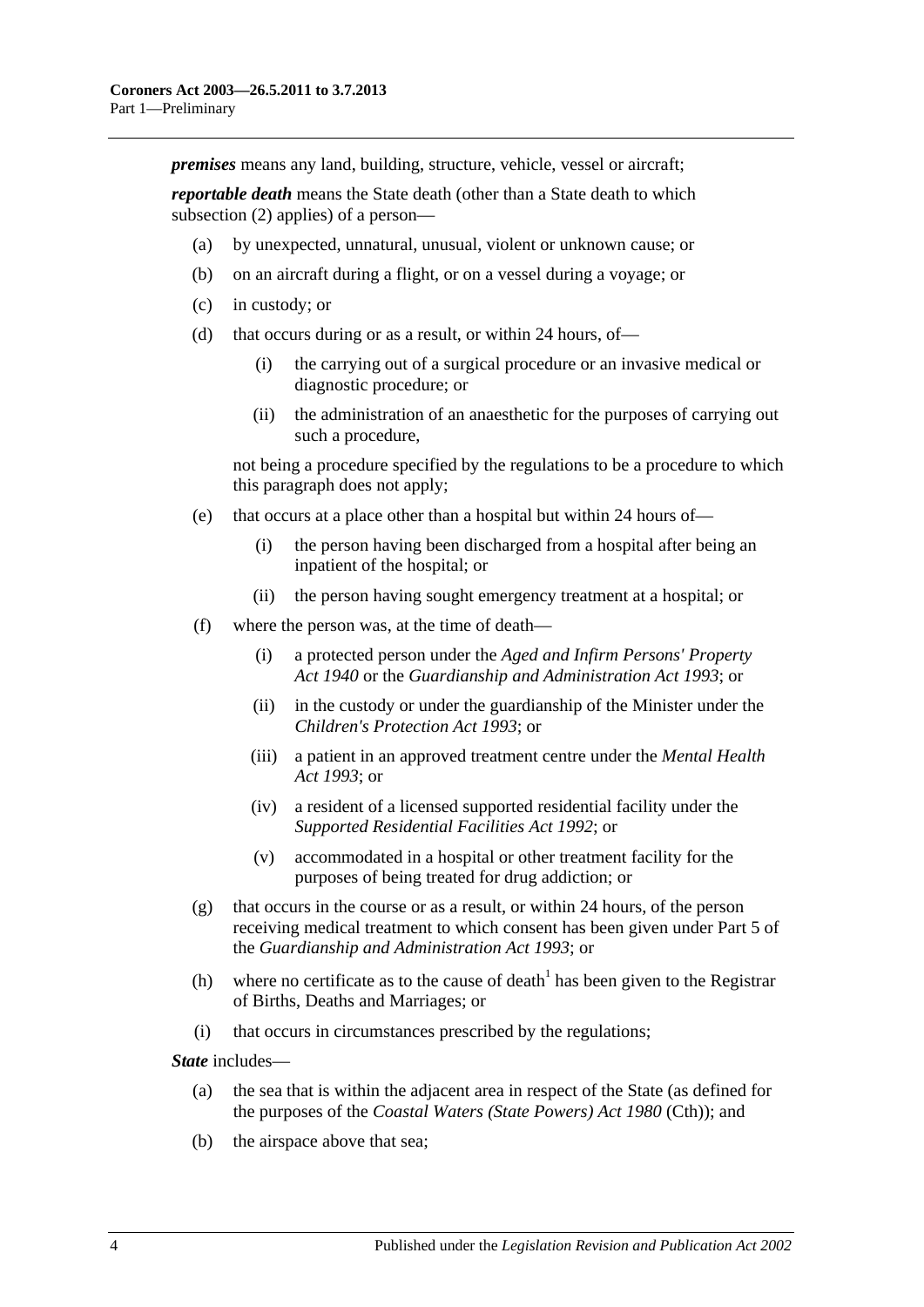*premises* means any land, building, structure, vehicle, vessel or aircraft;

*reportable death* means the State death (other than a State death to which [subsection](#page-4-4) (2) applies) of a person—

- (a) by unexpected, unnatural, unusual, violent or unknown cause; or
- (b) on an aircraft during a flight, or on a vessel during a voyage; or
- (c) in custody; or
- (d) that occurs during or as a result, or within 24 hours, of—
	- (i) the carrying out of a surgical procedure or an invasive medical or diagnostic procedure; or
	- (ii) the administration of an anaesthetic for the purposes of carrying out such a procedure,

not being a procedure specified by the regulations to be a procedure to which this paragraph does not apply;

- (e) that occurs at a place other than a hospital but within 24 hours of—
	- (i) the person having been discharged from a hospital after being an inpatient of the hospital; or
	- (ii) the person having sought emergency treatment at a hospital; or
- (f) where the person was, at the time of death—
	- (i) a protected person under the *[Aged and Infirm Persons' Property](http://www.legislation.sa.gov.au/index.aspx?action=legref&type=act&legtitle=Aged%20and%20Infirm%20Persons%20Property%20Act%201940)  Act [1940](http://www.legislation.sa.gov.au/index.aspx?action=legref&type=act&legtitle=Aged%20and%20Infirm%20Persons%20Property%20Act%201940)* or the *[Guardianship and Administration Act](http://www.legislation.sa.gov.au/index.aspx?action=legref&type=act&legtitle=Guardianship%20and%20Administration%20Act%201993) 1993*; or
	- (ii) in the custody or under the guardianship of the Minister under the *[Children's Protection Act](http://www.legislation.sa.gov.au/index.aspx?action=legref&type=act&legtitle=Childrens%20Protection%20Act%201993) 1993*; or
	- (iii) a patient in an approved treatment centre under the *[Mental Health](http://www.legislation.sa.gov.au/index.aspx?action=legref&type=act&legtitle=Mental%20Health%20Act%201993)  Act [1993](http://www.legislation.sa.gov.au/index.aspx?action=legref&type=act&legtitle=Mental%20Health%20Act%201993)*; or
	- (iv) a resident of a licensed supported residential facility under the *[Supported Residential Facilities Act](http://www.legislation.sa.gov.au/index.aspx?action=legref&type=act&legtitle=Supported%20Residential%20Facilities%20Act%201992) 1992*; or
	- (v) accommodated in a hospital or other treatment facility for the purposes of being treated for drug addiction; or
- (g) that occurs in the course or as a result, or within 24 hours, of the person receiving medical treatment to which consent has been given under Part 5 of the *[Guardianship and Administration Act](http://www.legislation.sa.gov.au/index.aspx?action=legref&type=act&legtitle=Guardianship%20and%20Administration%20Act%201993) 1993*; or
- (h) where no certificate as to the cause of death<sup>1</sup> has been given to the Registrar of Births, Deaths and Marriages; or
- (i) that occurs in circumstances prescribed by the regulations;

*State* includes—

- (a) the sea that is within the adjacent area in respect of the State (as defined for the purposes of the *Coastal Waters (State Powers) Act 1980* (Cth)); and
- (b) the airspace above that sea;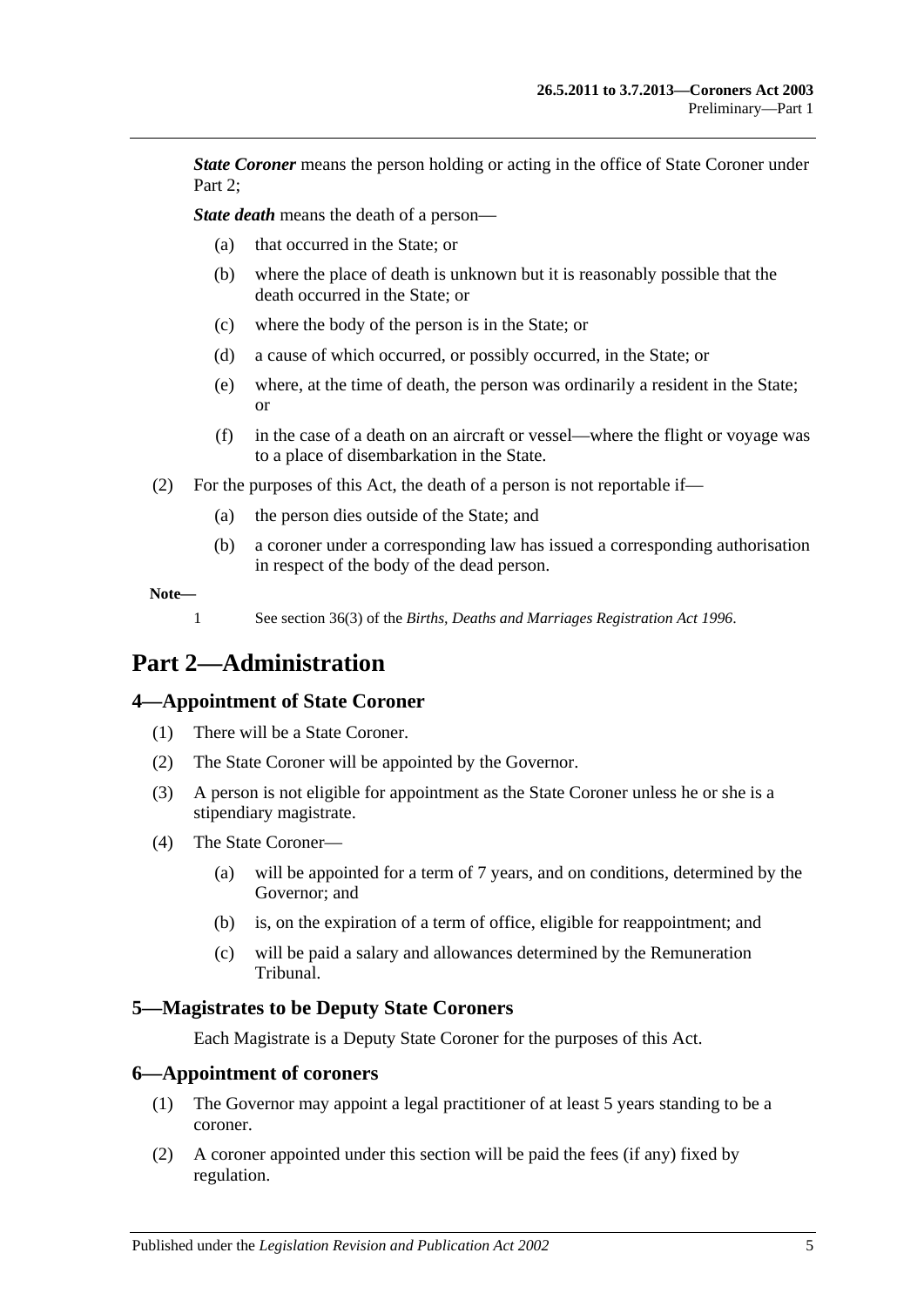*State Coroner* means the person holding or acting in the office of State Coroner under Part 2:

*State death* means the death of a person—

- (a) that occurred in the State; or
- (b) where the place of death is unknown but it is reasonably possible that the death occurred in the State; or
- (c) where the body of the person is in the State; or
- (d) a cause of which occurred, or possibly occurred, in the State; or
- (e) where, at the time of death, the person was ordinarily a resident in the State; or
- (f) in the case of a death on an aircraft or vessel—where the flight or voyage was to a place of disembarkation in the State.
- <span id="page-4-4"></span>(2) For the purposes of this Act, the death of a person is not reportable if—
	- (a) the person dies outside of the State; and
	- (b) a coroner under a corresponding law has issued a corresponding authorisation in respect of the body of the dead person.

**Note—**

1 See section 36(3) of the *[Births, Deaths and Marriages Registration Act](http://www.legislation.sa.gov.au/index.aspx?action=legref&type=act&legtitle=Births%20Deaths%20and%20Marriages%20Registration%20Act%201996) 1996*.

# <span id="page-4-0"></span>**Part 2—Administration**

#### <span id="page-4-1"></span>**4—Appointment of State Coroner**

- (1) There will be a State Coroner.
- (2) The State Coroner will be appointed by the Governor.
- (3) A person is not eligible for appointment as the State Coroner unless he or she is a stipendiary magistrate.
- (4) The State Coroner—
	- (a) will be appointed for a term of 7 years, and on conditions, determined by the Governor; and
	- (b) is, on the expiration of a term of office, eligible for reappointment; and
	- (c) will be paid a salary and allowances determined by the Remuneration Tribunal.

#### <span id="page-4-2"></span>**5—Magistrates to be Deputy State Coroners**

Each Magistrate is a Deputy State Coroner for the purposes of this Act.

#### <span id="page-4-3"></span>**6—Appointment of coroners**

- (1) The Governor may appoint a legal practitioner of at least 5 years standing to be a coroner.
- (2) A coroner appointed under this section will be paid the fees (if any) fixed by regulation.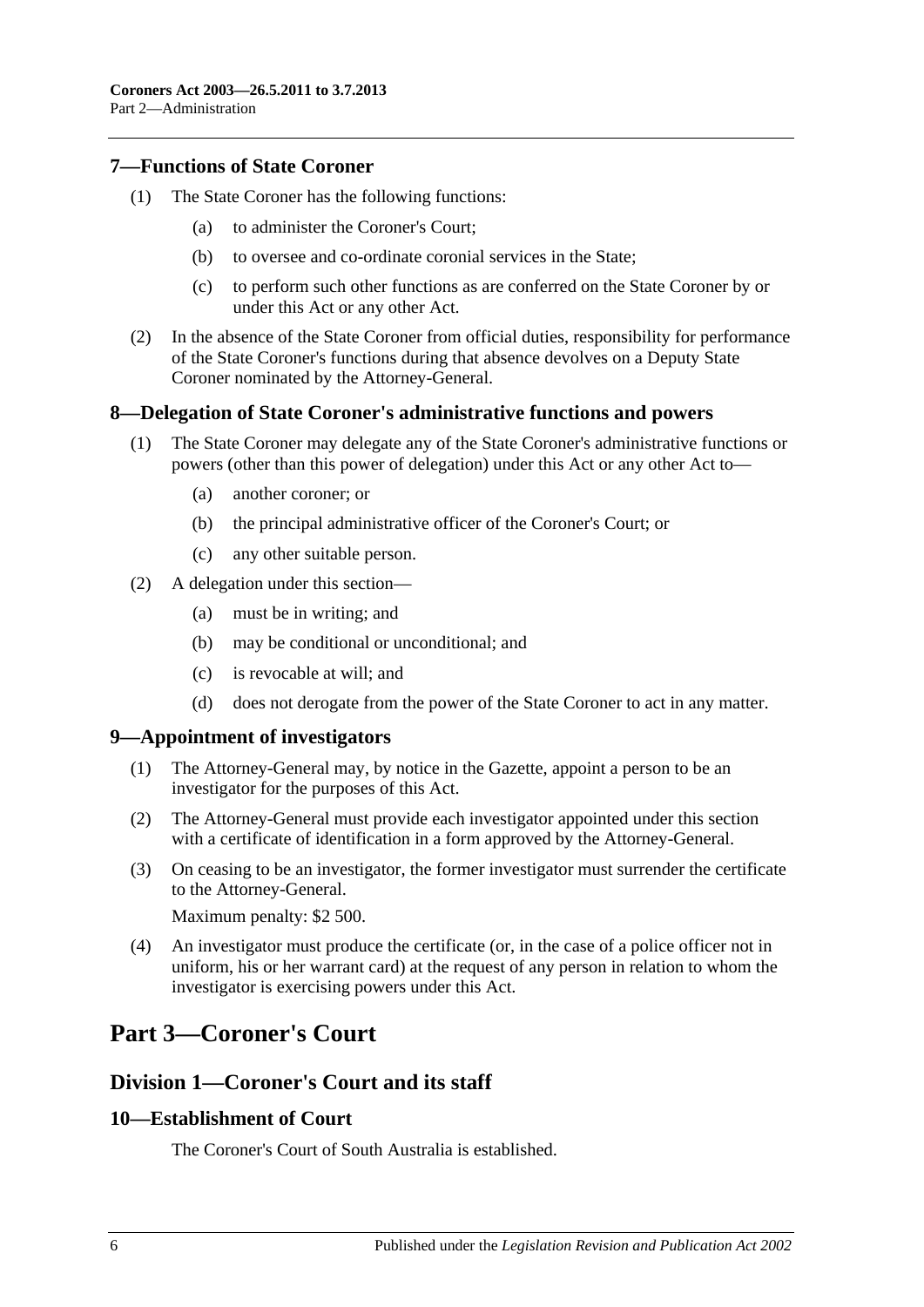#### <span id="page-5-0"></span>**7—Functions of State Coroner**

- (1) The State Coroner has the following functions:
	- (a) to administer the Coroner's Court;
	- (b) to oversee and co-ordinate coronial services in the State;
	- (c) to perform such other functions as are conferred on the State Coroner by or under this Act or any other Act.
- (2) In the absence of the State Coroner from official duties, responsibility for performance of the State Coroner's functions during that absence devolves on a Deputy State Coroner nominated by the Attorney-General.

#### <span id="page-5-1"></span>**8—Delegation of State Coroner's administrative functions and powers**

- (1) The State Coroner may delegate any of the State Coroner's administrative functions or powers (other than this power of delegation) under this Act or any other Act to—
	- (a) another coroner; or
	- (b) the principal administrative officer of the Coroner's Court; or
	- (c) any other suitable person.
- (2) A delegation under this section—
	- (a) must be in writing; and
	- (b) may be conditional or unconditional; and
	- (c) is revocable at will; and
	- (d) does not derogate from the power of the State Coroner to act in any matter.

#### <span id="page-5-2"></span>**9—Appointment of investigators**

- (1) The Attorney-General may, by notice in the Gazette, appoint a person to be an investigator for the purposes of this Act.
- (2) The Attorney-General must provide each investigator appointed under this section with a certificate of identification in a form approved by the Attorney-General.
- (3) On ceasing to be an investigator, the former investigator must surrender the certificate to the Attorney-General.

Maximum penalty: \$2 500.

(4) An investigator must produce the certificate (or, in the case of a police officer not in uniform, his or her warrant card) at the request of any person in relation to whom the investigator is exercising powers under this Act.

# <span id="page-5-3"></span>**Part 3—Coroner's Court**

### <span id="page-5-4"></span>**Division 1—Coroner's Court and its staff**

#### <span id="page-5-5"></span>**10—Establishment of Court**

The Coroner's Court of South Australia is established.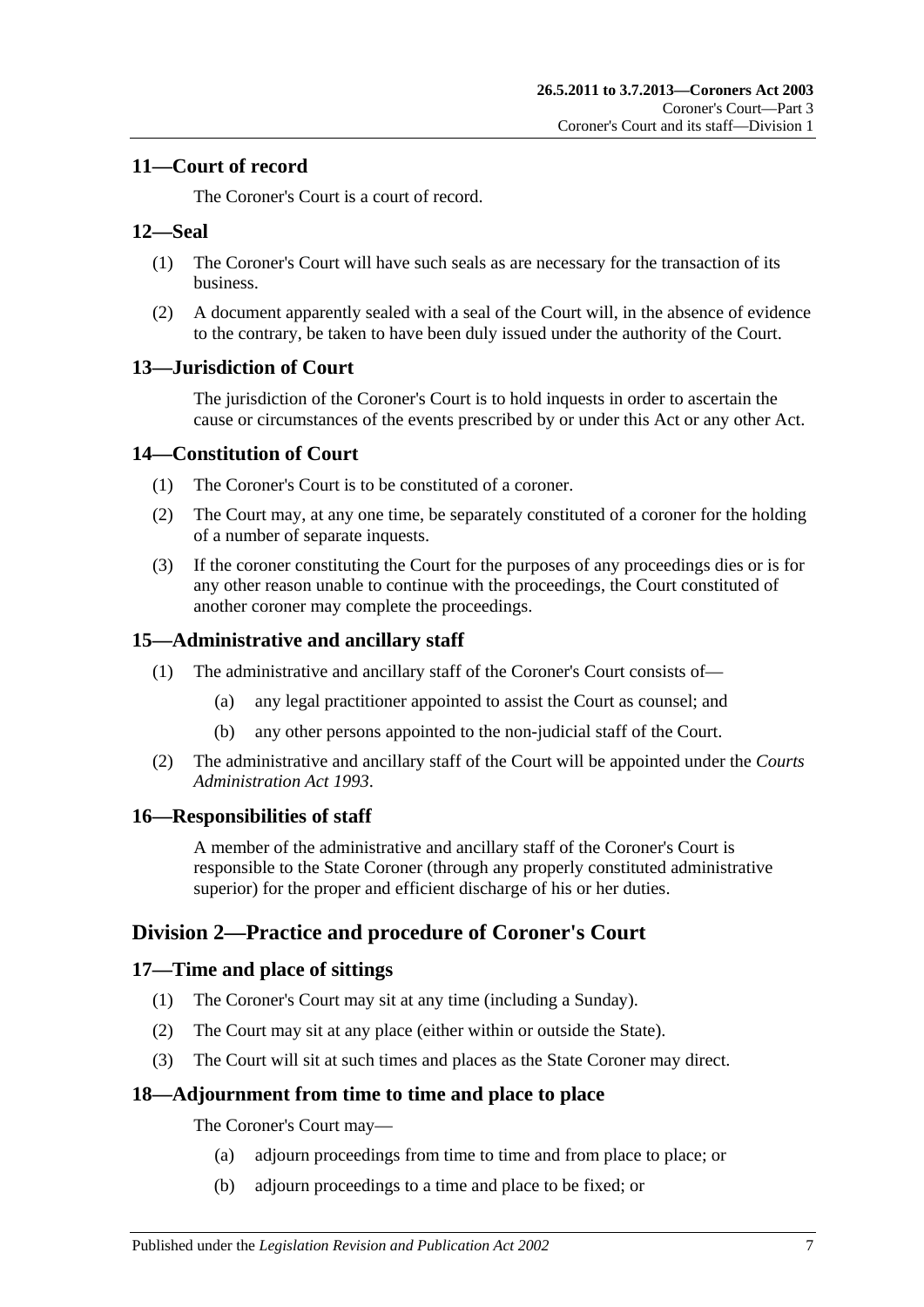### <span id="page-6-0"></span>**11—Court of record**

The Coroner's Court is a court of record.

#### <span id="page-6-1"></span>**12—Seal**

- (1) The Coroner's Court will have such seals as are necessary for the transaction of its business.
- (2) A document apparently sealed with a seal of the Court will, in the absence of evidence to the contrary, be taken to have been duly issued under the authority of the Court.

### <span id="page-6-2"></span>**13—Jurisdiction of Court**

The jurisdiction of the Coroner's Court is to hold inquests in order to ascertain the cause or circumstances of the events prescribed by or under this Act or any other Act.

#### <span id="page-6-3"></span>**14—Constitution of Court**

- (1) The Coroner's Court is to be constituted of a coroner.
- (2) The Court may, at any one time, be separately constituted of a coroner for the holding of a number of separate inquests.
- (3) If the coroner constituting the Court for the purposes of any proceedings dies or is for any other reason unable to continue with the proceedings, the Court constituted of another coroner may complete the proceedings.

### <span id="page-6-4"></span>**15—Administrative and ancillary staff**

- (1) The administrative and ancillary staff of the Coroner's Court consists of—
	- (a) any legal practitioner appointed to assist the Court as counsel; and
	- (b) any other persons appointed to the non-judicial staff of the Court.
- (2) The administrative and ancillary staff of the Court will be appointed under the *[Courts](http://www.legislation.sa.gov.au/index.aspx?action=legref&type=act&legtitle=Courts%20Administration%20Act%201993)  [Administration Act](http://www.legislation.sa.gov.au/index.aspx?action=legref&type=act&legtitle=Courts%20Administration%20Act%201993) 1993*.

#### <span id="page-6-5"></span>**16—Responsibilities of staff**

A member of the administrative and ancillary staff of the Coroner's Court is responsible to the State Coroner (through any properly constituted administrative superior) for the proper and efficient discharge of his or her duties.

## <span id="page-6-6"></span>**Division 2—Practice and procedure of Coroner's Court**

### <span id="page-6-7"></span>**17—Time and place of sittings**

- (1) The Coroner's Court may sit at any time (including a Sunday).
- (2) The Court may sit at any place (either within or outside the State).
- (3) The Court will sit at such times and places as the State Coroner may direct.

#### <span id="page-6-8"></span>**18—Adjournment from time to time and place to place**

The Coroner's Court may—

- (a) adjourn proceedings from time to time and from place to place; or
- (b) adjourn proceedings to a time and place to be fixed; or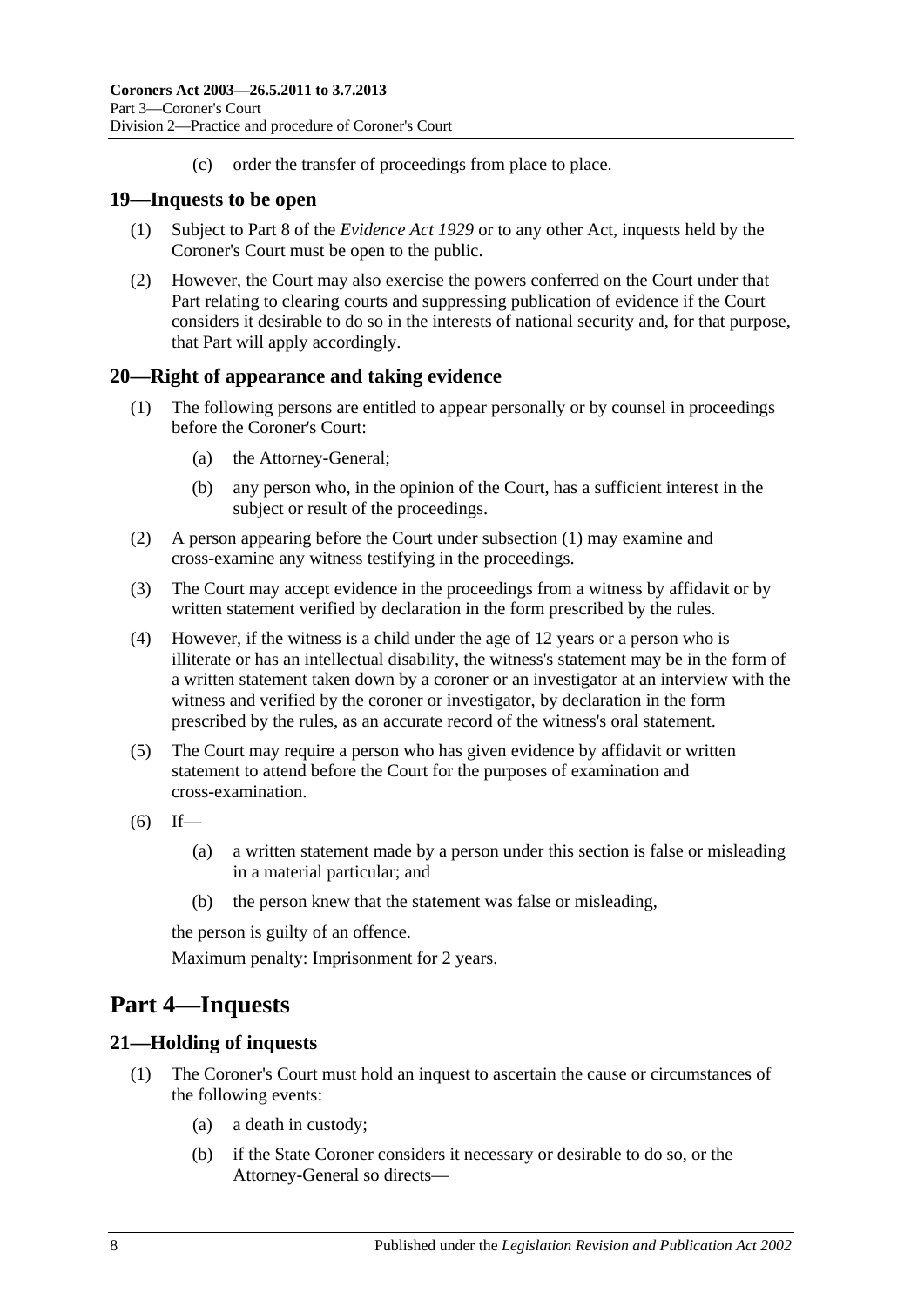(c) order the transfer of proceedings from place to place.

#### <span id="page-7-0"></span>**19—Inquests to be open**

- (1) Subject to Part 8 of the *[Evidence Act](http://www.legislation.sa.gov.au/index.aspx?action=legref&type=act&legtitle=Evidence%20Act%201929) 1929* or to any other Act, inquests held by the Coroner's Court must be open to the public.
- (2) However, the Court may also exercise the powers conferred on the Court under that Part relating to clearing courts and suppressing publication of evidence if the Court considers it desirable to do so in the interests of national security and, for that purpose, that Part will apply accordingly.

#### <span id="page-7-4"></span><span id="page-7-1"></span>**20—Right of appearance and taking evidence**

- (1) The following persons are entitled to appear personally or by counsel in proceedings before the Coroner's Court:
	- (a) the Attorney-General;
	- (b) any person who, in the opinion of the Court, has a sufficient interest in the subject or result of the proceedings.
- (2) A person appearing before the Court under [subsection](#page-7-4) (1) may examine and cross-examine any witness testifying in the proceedings.
- (3) The Court may accept evidence in the proceedings from a witness by affidavit or by written statement verified by declaration in the form prescribed by the rules.
- (4) However, if the witness is a child under the age of 12 years or a person who is illiterate or has an intellectual disability, the witness's statement may be in the form of a written statement taken down by a coroner or an investigator at an interview with the witness and verified by the coroner or investigator, by declaration in the form prescribed by the rules, as an accurate record of the witness's oral statement.
- (5) The Court may require a person who has given evidence by affidavit or written statement to attend before the Court for the purposes of examination and cross-examination.
- $(6)$  If—
	- (a) a written statement made by a person under this section is false or misleading in a material particular; and
	- (b) the person knew that the statement was false or misleading,

the person is guilty of an offence.

Maximum penalty: Imprisonment for 2 years.

# <span id="page-7-2"></span>**Part 4—Inquests**

#### <span id="page-7-3"></span>**21—Holding of inquests**

- (1) The Coroner's Court must hold an inquest to ascertain the cause or circumstances of the following events:
	- (a) a death in custody;
	- (b) if the State Coroner considers it necessary or desirable to do so, or the Attorney-General so directs—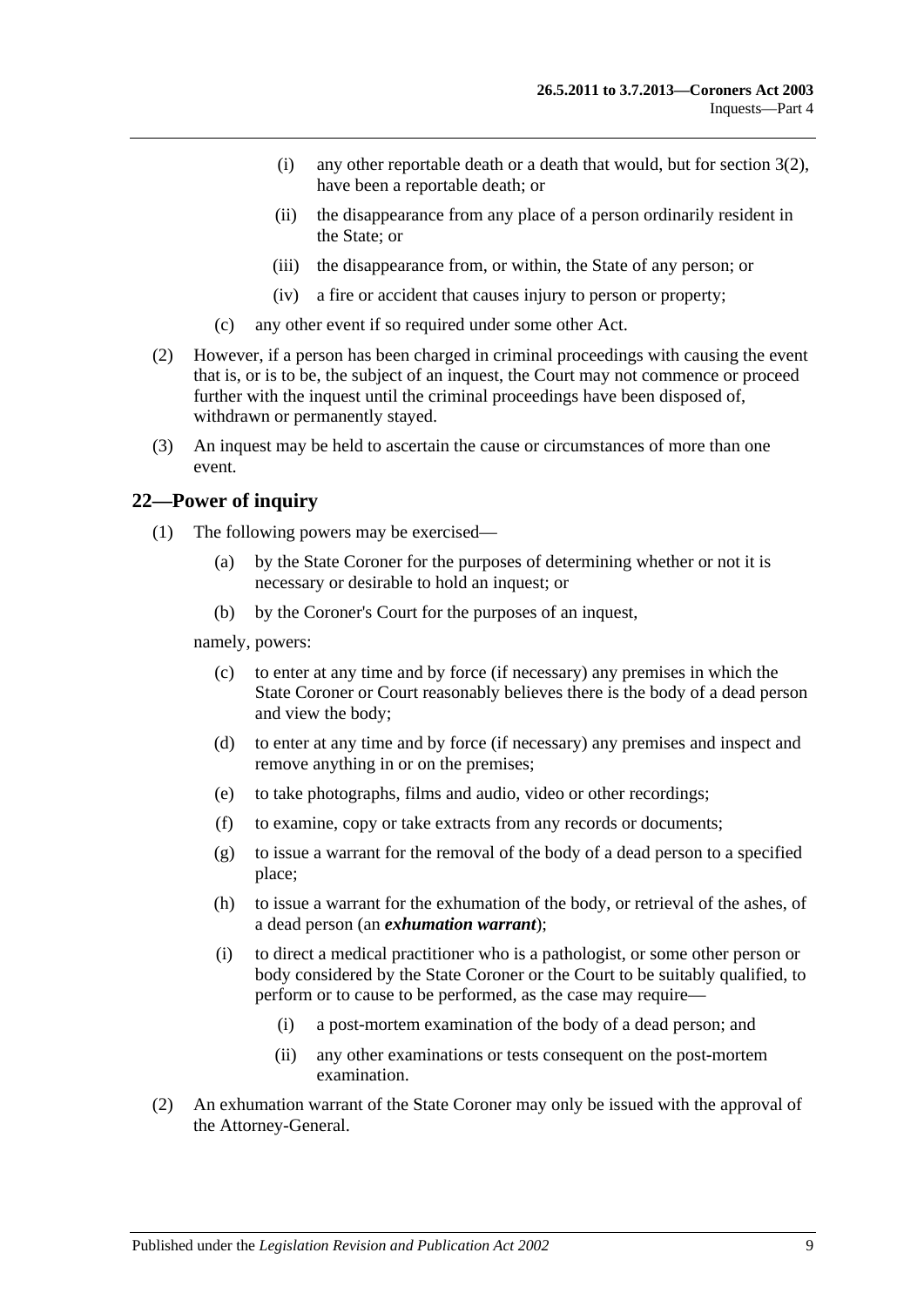- (i) any other reportable death or a death that would, but for [section](#page-4-4) 3(2), have been a reportable death; or
- (ii) the disappearance from any place of a person ordinarily resident in the State; or
- (iii) the disappearance from, or within, the State of any person; or
- (iv) a fire or accident that causes injury to person or property;
- (c) any other event if so required under some other Act.
- (2) However, if a person has been charged in criminal proceedings with causing the event that is, or is to be, the subject of an inquest, the Court may not commence or proceed further with the inquest until the criminal proceedings have been disposed of, withdrawn or permanently stayed.
- (3) An inquest may be held to ascertain the cause or circumstances of more than one event.

#### <span id="page-8-0"></span>**22—Power of inquiry**

- (1) The following powers may be exercised—
	- (a) by the State Coroner for the purposes of determining whether or not it is necessary or desirable to hold an inquest; or
	- (b) by the Coroner's Court for the purposes of an inquest,

<span id="page-8-1"></span>namely, powers:

- (c) to enter at any time and by force (if necessary) any premises in which the State Coroner or Court reasonably believes there is the body of a dead person and view the body;
- (d) to enter at any time and by force (if necessary) any premises and inspect and remove anything in or on the premises;
- (e) to take photographs, films and audio, video or other recordings;
- <span id="page-8-2"></span>(f) to examine, copy or take extracts from any records or documents;
- (g) to issue a warrant for the removal of the body of a dead person to a specified place;
- (h) to issue a warrant for the exhumation of the body, or retrieval of the ashes, of a dead person (an *exhumation warrant*);
- (i) to direct a medical practitioner who is a pathologist, or some other person or body considered by the State Coroner or the Court to be suitably qualified, to perform or to cause to be performed, as the case may require—
	- (i) a post-mortem examination of the body of a dead person; and
	- (ii) any other examinations or tests consequent on the post-mortem examination.
- (2) An exhumation warrant of the State Coroner may only be issued with the approval of the Attorney-General.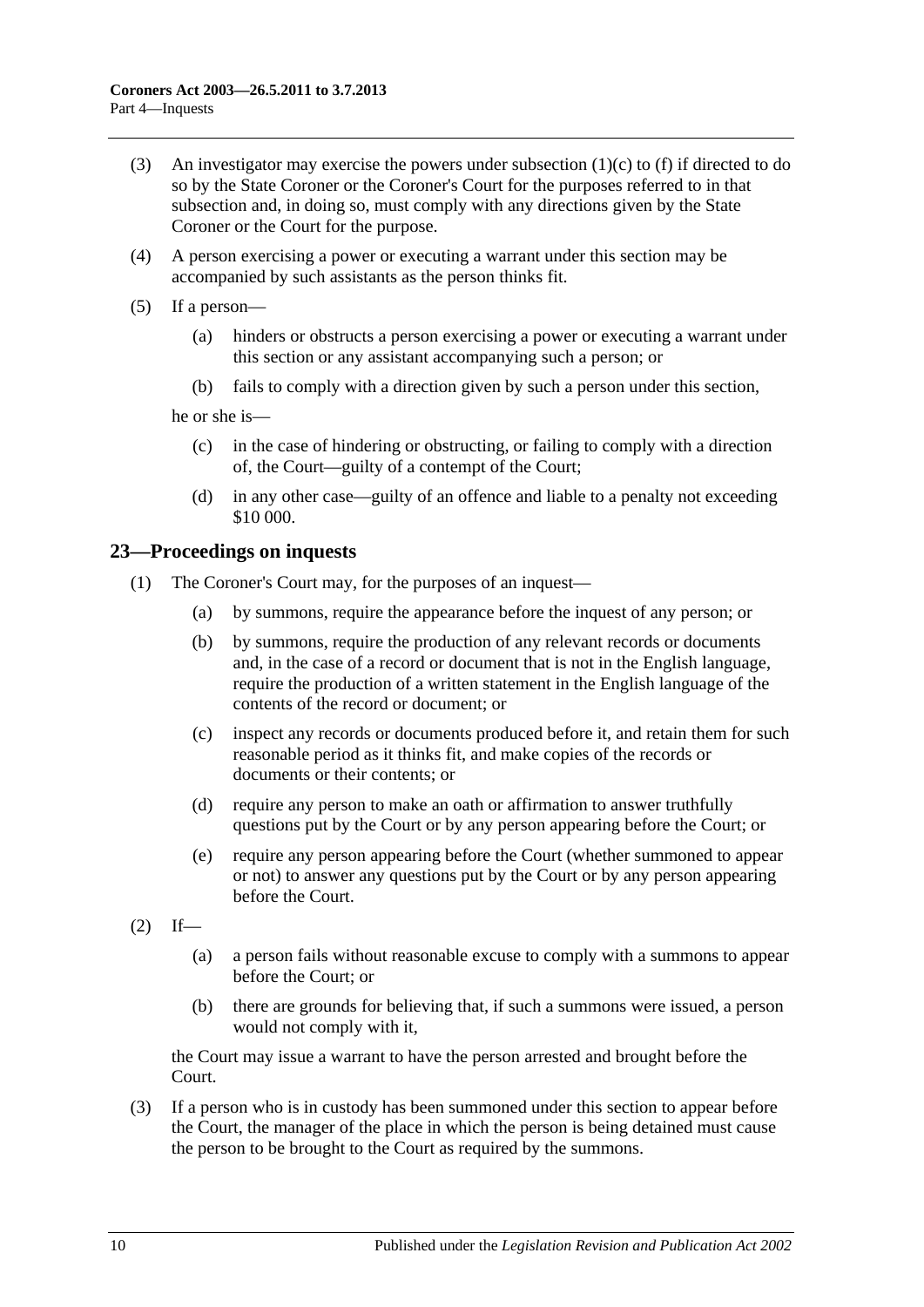- (3) An investigator may exercise the powers under [subsection](#page-8-1)  $(1)(c)$  to [\(f\)](#page-8-2) if directed to do so by the State Coroner or the Coroner's Court for the purposes referred to in that subsection and, in doing so, must comply with any directions given by the State Coroner or the Court for the purpose.
- (4) A person exercising a power or executing a warrant under this section may be accompanied by such assistants as the person thinks fit.
- (5) If a person—
	- (a) hinders or obstructs a person exercising a power or executing a warrant under this section or any assistant accompanying such a person; or
	- (b) fails to comply with a direction given by such a person under this section,

he or she is—

- (c) in the case of hindering or obstructing, or failing to comply with a direction of, the Court—guilty of a contempt of the Court;
- (d) in any other case—guilty of an offence and liable to a penalty not exceeding \$10 000.

#### <span id="page-9-0"></span>**23—Proceedings on inquests**

- (1) The Coroner's Court may, for the purposes of an inquest—
	- (a) by summons, require the appearance before the inquest of any person; or
	- (b) by summons, require the production of any relevant records or documents and, in the case of a record or document that is not in the English language, require the production of a written statement in the English language of the contents of the record or document; or
	- (c) inspect any records or documents produced before it, and retain them for such reasonable period as it thinks fit, and make copies of the records or documents or their contents; or
	- (d) require any person to make an oath or affirmation to answer truthfully questions put by the Court or by any person appearing before the Court; or
	- (e) require any person appearing before the Court (whether summoned to appear or not) to answer any questions put by the Court or by any person appearing before the Court.
- $(2)$  If—
	- (a) a person fails without reasonable excuse to comply with a summons to appear before the Court; or
	- (b) there are grounds for believing that, if such a summons were issued, a person would not comply with it,

the Court may issue a warrant to have the person arrested and brought before the Court.

(3) If a person who is in custody has been summoned under this section to appear before the Court, the manager of the place in which the person is being detained must cause the person to be brought to the Court as required by the summons.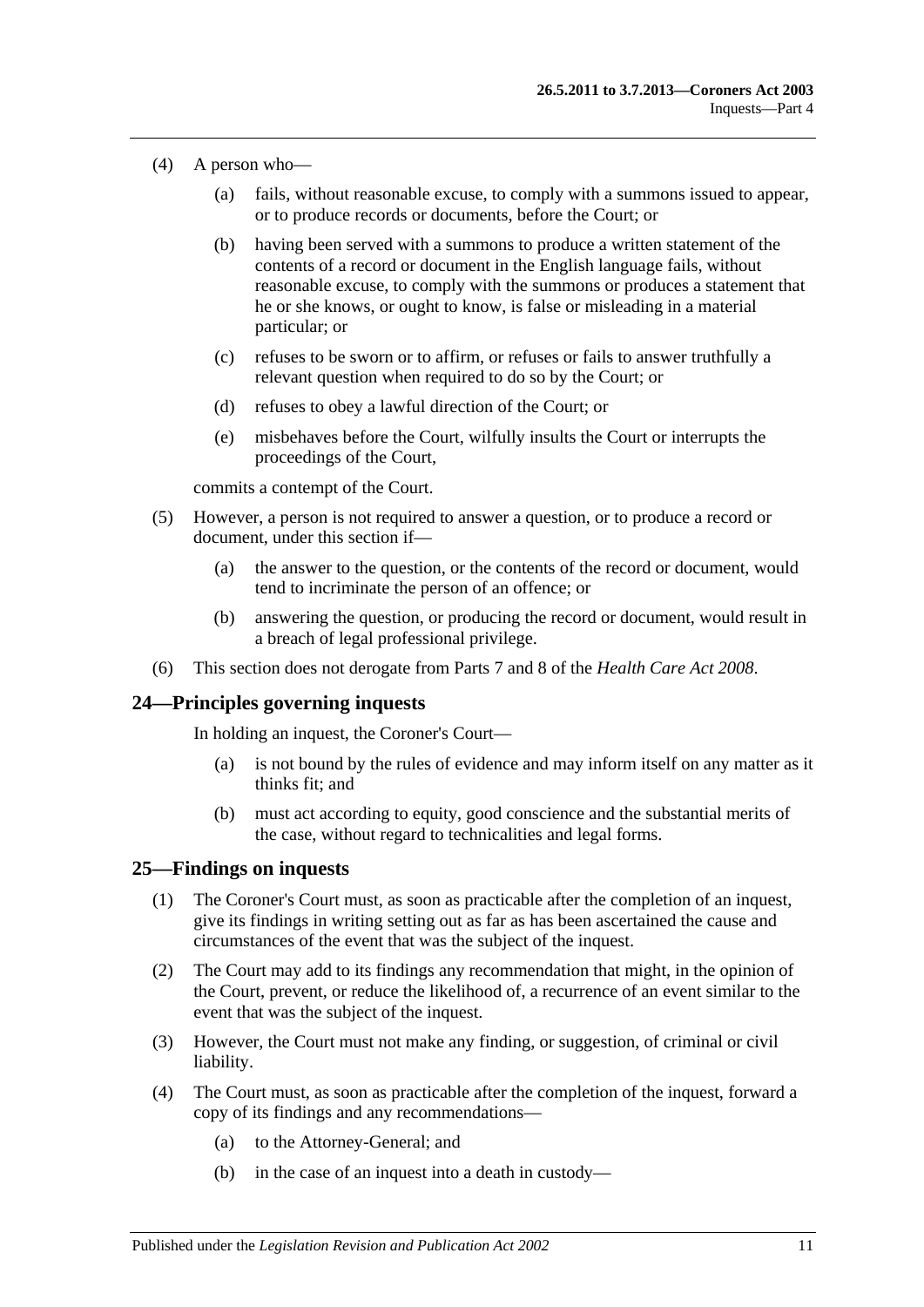- (4) A person who—
	- (a) fails, without reasonable excuse, to comply with a summons issued to appear, or to produce records or documents, before the Court; or
	- (b) having been served with a summons to produce a written statement of the contents of a record or document in the English language fails, without reasonable excuse, to comply with the summons or produces a statement that he or she knows, or ought to know, is false or misleading in a material particular; or
	- (c) refuses to be sworn or to affirm, or refuses or fails to answer truthfully a relevant question when required to do so by the Court; or
	- (d) refuses to obey a lawful direction of the Court; or
	- (e) misbehaves before the Court, wilfully insults the Court or interrupts the proceedings of the Court,

commits a contempt of the Court.

- (5) However, a person is not required to answer a question, or to produce a record or document, under this section if—
	- (a) the answer to the question, or the contents of the record or document, would tend to incriminate the person of an offence; or
	- (b) answering the question, or producing the record or document, would result in a breach of legal professional privilege.
- (6) This section does not derogate from Parts 7 and 8 of the *[Health Care Act](http://www.legislation.sa.gov.au/index.aspx?action=legref&type=act&legtitle=Health%20Care%20Act%202008) 2008*.

#### <span id="page-10-0"></span>**24—Principles governing inquests**

In holding an inquest, the Coroner's Court—

- (a) is not bound by the rules of evidence and may inform itself on any matter as it thinks fit; and
- (b) must act according to equity, good conscience and the substantial merits of the case, without regard to technicalities and legal forms.

#### <span id="page-10-1"></span>**25—Findings on inquests**

- (1) The Coroner's Court must, as soon as practicable after the completion of an inquest, give its findings in writing setting out as far as has been ascertained the cause and circumstances of the event that was the subject of the inquest.
- (2) The Court may add to its findings any recommendation that might, in the opinion of the Court, prevent, or reduce the likelihood of, a recurrence of an event similar to the event that was the subject of the inquest.
- (3) However, the Court must not make any finding, or suggestion, of criminal or civil liability.
- (4) The Court must, as soon as practicable after the completion of the inquest, forward a copy of its findings and any recommendations—
	- (a) to the Attorney-General; and
	- (b) in the case of an inquest into a death in custody—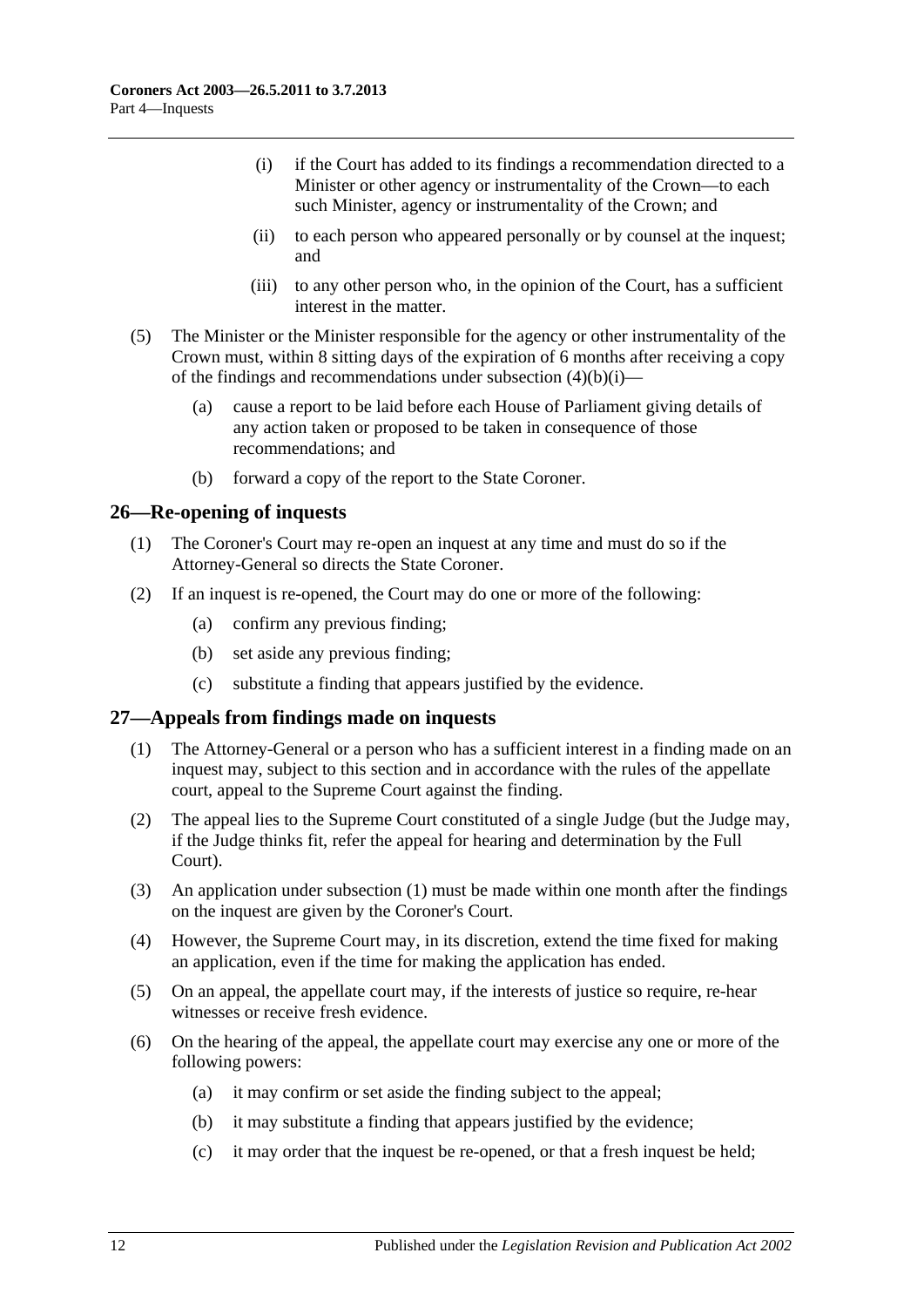- <span id="page-11-2"></span>(i) if the Court has added to its findings a recommendation directed to a Minister or other agency or instrumentality of the Crown—to each such Minister, agency or instrumentality of the Crown; and
- (ii) to each person who appeared personally or by counsel at the inquest; and
- (iii) to any other person who, in the opinion of the Court, has a sufficient interest in the matter.
- (5) The Minister or the Minister responsible for the agency or other instrumentality of the Crown must, within 8 sitting days of the expiration of 6 months after receiving a copy of the findings and recommendations under [subsection](#page-11-2)  $(4)(b)(i)$ —
	- (a) cause a report to be laid before each House of Parliament giving details of any action taken or proposed to be taken in consequence of those recommendations; and
	- (b) forward a copy of the report to the State Coroner.

#### <span id="page-11-0"></span>**26—Re-opening of inquests**

- (1) The Coroner's Court may re-open an inquest at any time and must do so if the Attorney-General so directs the State Coroner.
- (2) If an inquest is re-opened, the Court may do one or more of the following:
	- (a) confirm any previous finding;
	- (b) set aside any previous finding;
	- (c) substitute a finding that appears justified by the evidence.

#### <span id="page-11-3"></span><span id="page-11-1"></span>**27—Appeals from findings made on inquests**

- (1) The Attorney-General or a person who has a sufficient interest in a finding made on an inquest may, subject to this section and in accordance with the rules of the appellate court, appeal to the Supreme Court against the finding.
- (2) The appeal lies to the Supreme Court constituted of a single Judge (but the Judge may, if the Judge thinks fit, refer the appeal for hearing and determination by the Full Court).
- (3) An application under [subsection](#page-11-3) (1) must be made within one month after the findings on the inquest are given by the Coroner's Court.
- (4) However, the Supreme Court may, in its discretion, extend the time fixed for making an application, even if the time for making the application has ended.
- (5) On an appeal, the appellate court may, if the interests of justice so require, re-hear witnesses or receive fresh evidence.
- (6) On the hearing of the appeal, the appellate court may exercise any one or more of the following powers:
	- (a) it may confirm or set aside the finding subject to the appeal;
	- (b) it may substitute a finding that appears justified by the evidence;
	- (c) it may order that the inquest be re-opened, or that a fresh inquest be held;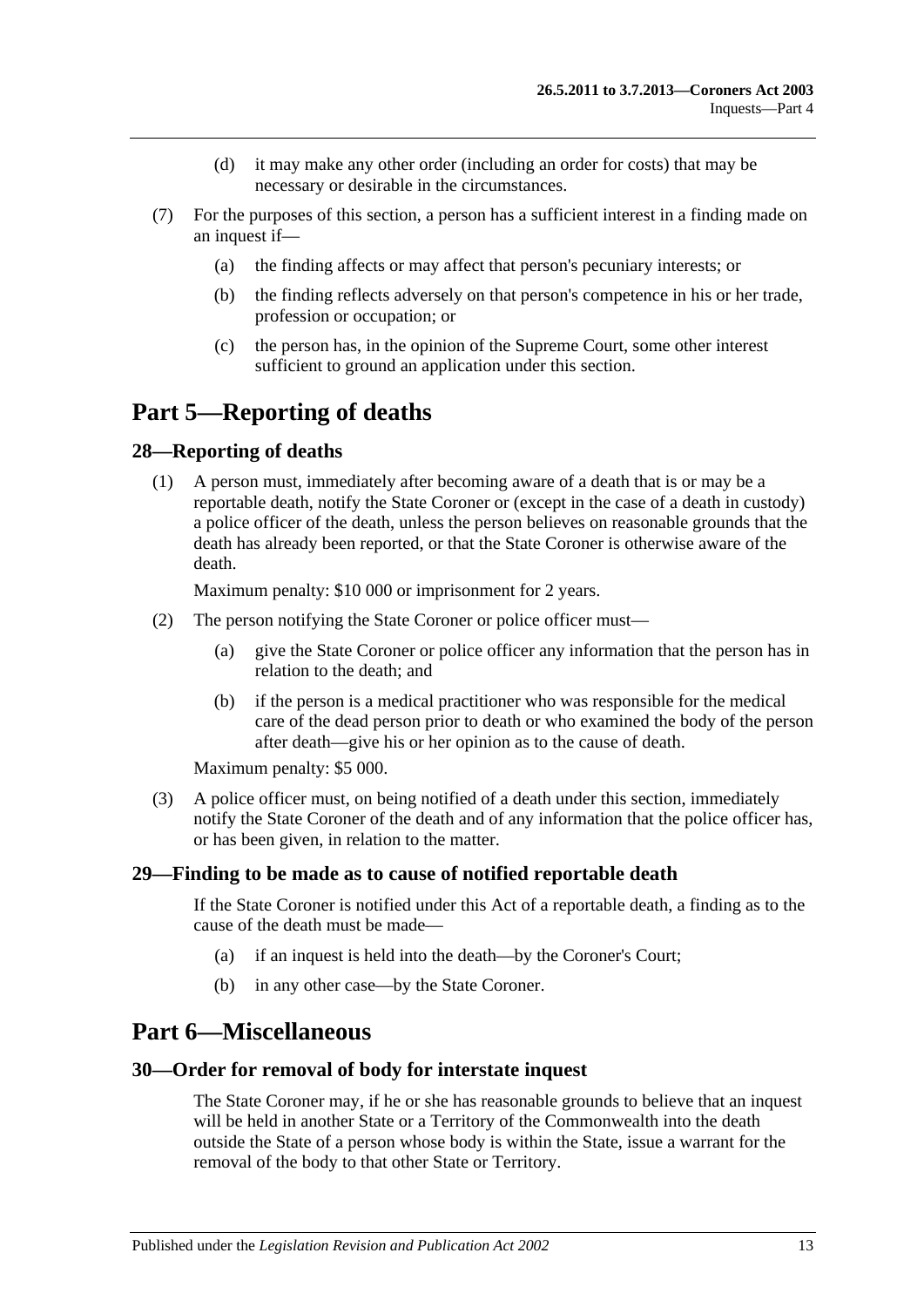- (d) it may make any other order (including an order for costs) that may be necessary or desirable in the circumstances.
- (7) For the purposes of this section, a person has a sufficient interest in a finding made on an inquest if—
	- (a) the finding affects or may affect that person's pecuniary interests; or
	- (b) the finding reflects adversely on that person's competence in his or her trade, profession or occupation; or
	- (c) the person has, in the opinion of the Supreme Court, some other interest sufficient to ground an application under this section.

# <span id="page-12-0"></span>**Part 5—Reporting of deaths**

#### <span id="page-12-1"></span>**28—Reporting of deaths**

(1) A person must, immediately after becoming aware of a death that is or may be a reportable death, notify the State Coroner or (except in the case of a death in custody) a police officer of the death, unless the person believes on reasonable grounds that the death has already been reported, or that the State Coroner is otherwise aware of the death.

Maximum penalty: \$10 000 or imprisonment for 2 years.

- (2) The person notifying the State Coroner or police officer must—
	- (a) give the State Coroner or police officer any information that the person has in relation to the death; and
	- (b) if the person is a medical practitioner who was responsible for the medical care of the dead person prior to death or who examined the body of the person after death—give his or her opinion as to the cause of death.

Maximum penalty: \$5 000.

(3) A police officer must, on being notified of a death under this section, immediately notify the State Coroner of the death and of any information that the police officer has, or has been given, in relation to the matter.

#### <span id="page-12-2"></span>**29—Finding to be made as to cause of notified reportable death**

If the State Coroner is notified under this Act of a reportable death, a finding as to the cause of the death must be made—

- (a) if an inquest is held into the death—by the Coroner's Court;
- (b) in any other case—by the State Coroner.

# <span id="page-12-3"></span>**Part 6—Miscellaneous**

#### <span id="page-12-4"></span>**30—Order for removal of body for interstate inquest**

The State Coroner may, if he or she has reasonable grounds to believe that an inquest will be held in another State or a Territory of the Commonwealth into the death outside the State of a person whose body is within the State, issue a warrant for the removal of the body to that other State or Territory.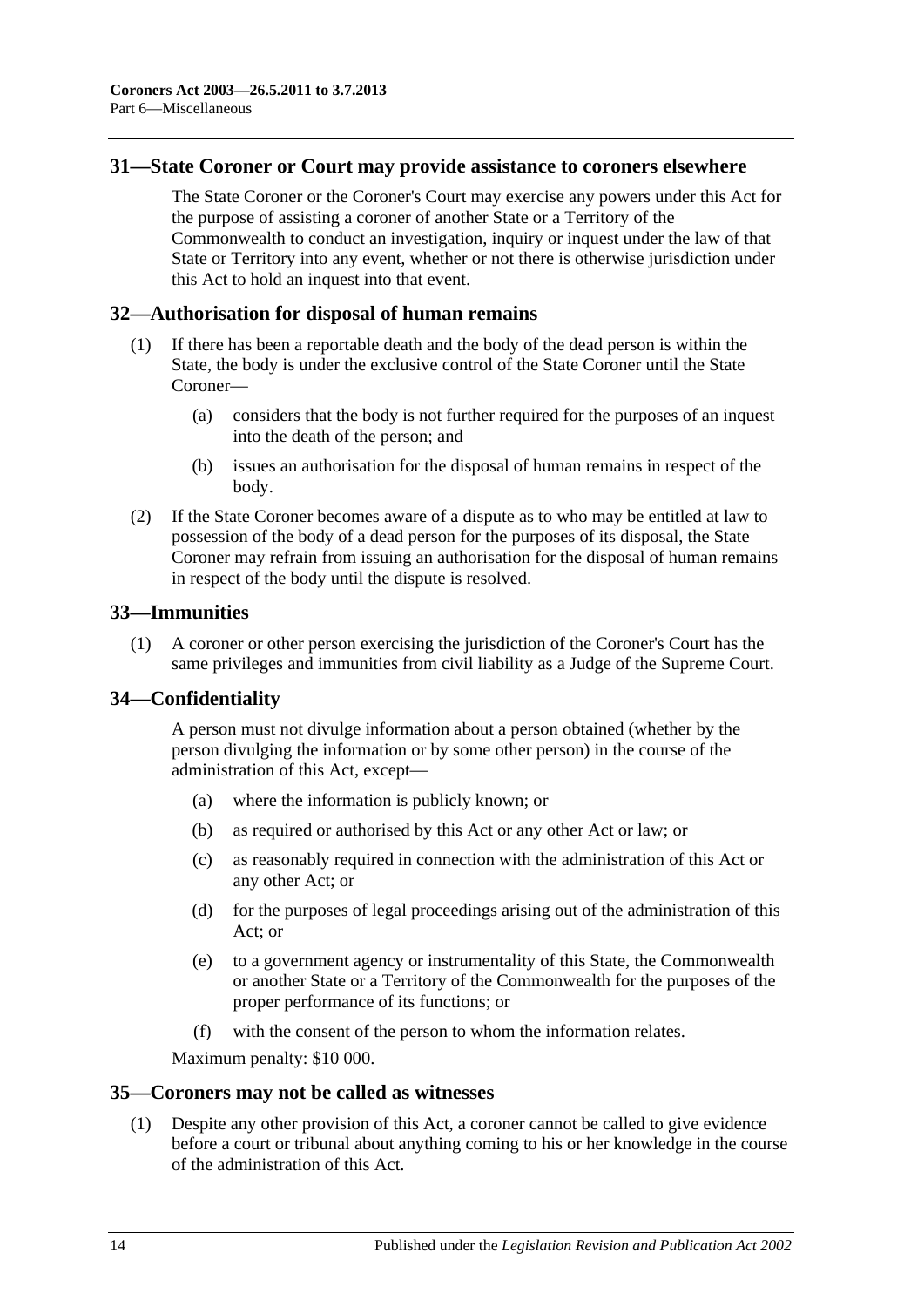#### <span id="page-13-0"></span>**31—State Coroner or Court may provide assistance to coroners elsewhere**

The State Coroner or the Coroner's Court may exercise any powers under this Act for the purpose of assisting a coroner of another State or a Territory of the Commonwealth to conduct an investigation, inquiry or inquest under the law of that State or Territory into any event, whether or not there is otherwise jurisdiction under this Act to hold an inquest into that event.

#### <span id="page-13-1"></span>**32—Authorisation for disposal of human remains**

- (1) If there has been a reportable death and the body of the dead person is within the State, the body is under the exclusive control of the State Coroner until the State Coroner—
	- (a) considers that the body is not further required for the purposes of an inquest into the death of the person; and
	- (b) issues an authorisation for the disposal of human remains in respect of the body.
- (2) If the State Coroner becomes aware of a dispute as to who may be entitled at law to possession of the body of a dead person for the purposes of its disposal, the State Coroner may refrain from issuing an authorisation for the disposal of human remains in respect of the body until the dispute is resolved.

#### <span id="page-13-2"></span>**33—Immunities**

(1) A coroner or other person exercising the jurisdiction of the Coroner's Court has the same privileges and immunities from civil liability as a Judge of the Supreme Court.

#### <span id="page-13-3"></span>**34—Confidentiality**

A person must not divulge information about a person obtained (whether by the person divulging the information or by some other person) in the course of the administration of this Act, except—

- (a) where the information is publicly known; or
- (b) as required or authorised by this Act or any other Act or law; or
- (c) as reasonably required in connection with the administration of this Act or any other Act; or
- (d) for the purposes of legal proceedings arising out of the administration of this Act; or
- (e) to a government agency or instrumentality of this State, the Commonwealth or another State or a Territory of the Commonwealth for the purposes of the proper performance of its functions; or
- (f) with the consent of the person to whom the information relates.

Maximum penalty: \$10 000.

#### <span id="page-13-5"></span><span id="page-13-4"></span>**35—Coroners may not be called as witnesses**

(1) Despite any other provision of this Act, a coroner cannot be called to give evidence before a court or tribunal about anything coming to his or her knowledge in the course of the administration of this Act.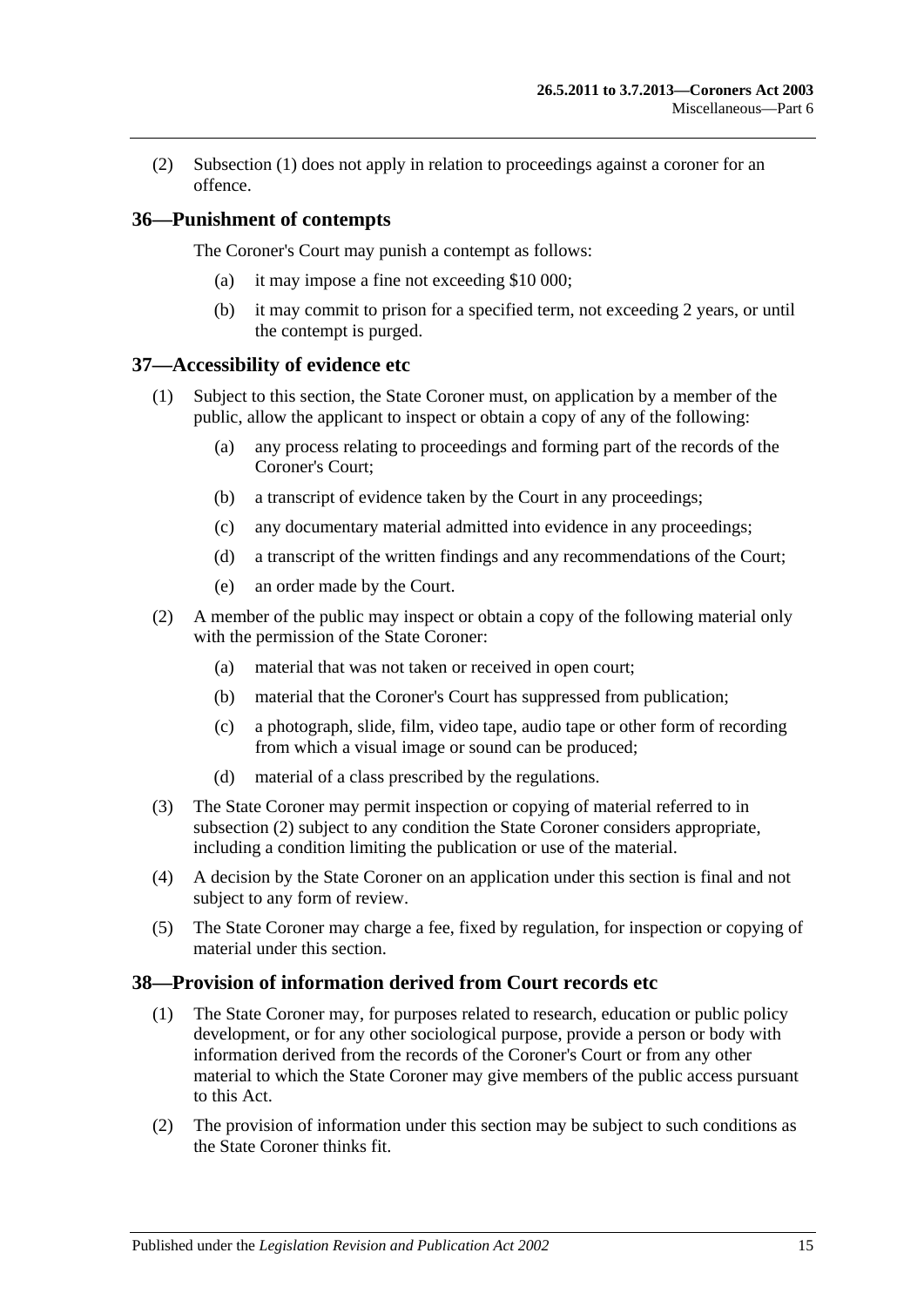(2) [Subsection](#page-13-5) (1) does not apply in relation to proceedings against a coroner for an offence.

### <span id="page-14-0"></span>**36—Punishment of contempts**

The Coroner's Court may punish a contempt as follows:

- (a) it may impose a fine not exceeding \$10 000;
- (b) it may commit to prison for a specified term, not exceeding 2 years, or until the contempt is purged.

#### <span id="page-14-1"></span>**37—Accessibility of evidence etc**

- (1) Subject to this section, the State Coroner must, on application by a member of the public, allow the applicant to inspect or obtain a copy of any of the following:
	- (a) any process relating to proceedings and forming part of the records of the Coroner's Court;
	- (b) a transcript of evidence taken by the Court in any proceedings;
	- (c) any documentary material admitted into evidence in any proceedings;
	- (d) a transcript of the written findings and any recommendations of the Court;
	- (e) an order made by the Court.
- <span id="page-14-3"></span>(2) A member of the public may inspect or obtain a copy of the following material only with the permission of the State Coroner:
	- (a) material that was not taken or received in open court;
	- (b) material that the Coroner's Court has suppressed from publication;
	- (c) a photograph, slide, film, video tape, audio tape or other form of recording from which a visual image or sound can be produced;
	- (d) material of a class prescribed by the regulations.
- (3) The State Coroner may permit inspection or copying of material referred to in [subsection](#page-14-3) (2) subject to any condition the State Coroner considers appropriate, including a condition limiting the publication or use of the material.
- (4) A decision by the State Coroner on an application under this section is final and not subject to any form of review.
- (5) The State Coroner may charge a fee, fixed by regulation, for inspection or copying of material under this section.

### <span id="page-14-2"></span>**38—Provision of information derived from Court records etc**

- (1) The State Coroner may, for purposes related to research, education or public policy development, or for any other sociological purpose, provide a person or body with information derived from the records of the Coroner's Court or from any other material to which the State Coroner may give members of the public access pursuant to this Act.
- (2) The provision of information under this section may be subject to such conditions as the State Coroner thinks fit.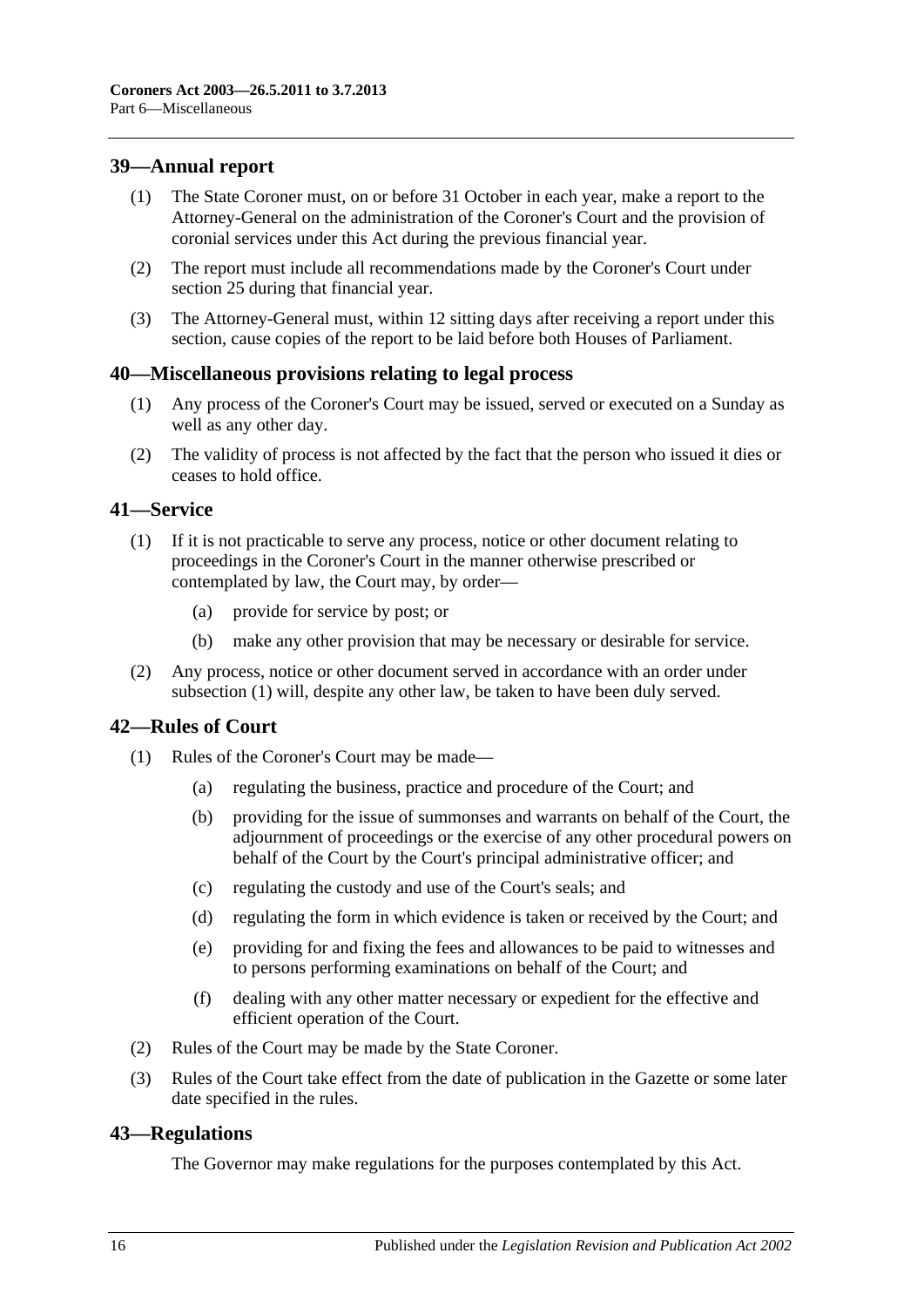### <span id="page-15-0"></span>**39—Annual report**

- (1) The State Coroner must, on or before 31 October in each year, make a report to the Attorney-General on the administration of the Coroner's Court and the provision of coronial services under this Act during the previous financial year.
- (2) The report must include all recommendations made by the Coroner's Court under [section](#page-10-1) 25 during that financial year.
- (3) The Attorney-General must, within 12 sitting days after receiving a report under this section, cause copies of the report to be laid before both Houses of Parliament.

#### <span id="page-15-1"></span>**40—Miscellaneous provisions relating to legal process**

- (1) Any process of the Coroner's Court may be issued, served or executed on a Sunday as well as any other day.
- (2) The validity of process is not affected by the fact that the person who issued it dies or ceases to hold office.

#### <span id="page-15-5"></span><span id="page-15-2"></span>**41—Service**

- (1) If it is not practicable to serve any process, notice or other document relating to proceedings in the Coroner's Court in the manner otherwise prescribed or contemplated by law, the Court may, by order—
	- (a) provide for service by post; or
	- (b) make any other provision that may be necessary or desirable for service.
- (2) Any process, notice or other document served in accordance with an order under [subsection](#page-15-5) (1) will, despite any other law, be taken to have been duly served.

#### <span id="page-15-3"></span>**42—Rules of Court**

- (1) Rules of the Coroner's Court may be made—
	- (a) regulating the business, practice and procedure of the Court; and
	- (b) providing for the issue of summonses and warrants on behalf of the Court, the adjournment of proceedings or the exercise of any other procedural powers on behalf of the Court by the Court's principal administrative officer; and
	- (c) regulating the custody and use of the Court's seals; and
	- (d) regulating the form in which evidence is taken or received by the Court; and
	- (e) providing for and fixing the fees and allowances to be paid to witnesses and to persons performing examinations on behalf of the Court; and
	- (f) dealing with any other matter necessary or expedient for the effective and efficient operation of the Court.
- (2) Rules of the Court may be made by the State Coroner.
- (3) Rules of the Court take effect from the date of publication in the Gazette or some later date specified in the rules.

#### <span id="page-15-4"></span>**43—Regulations**

The Governor may make regulations for the purposes contemplated by this Act.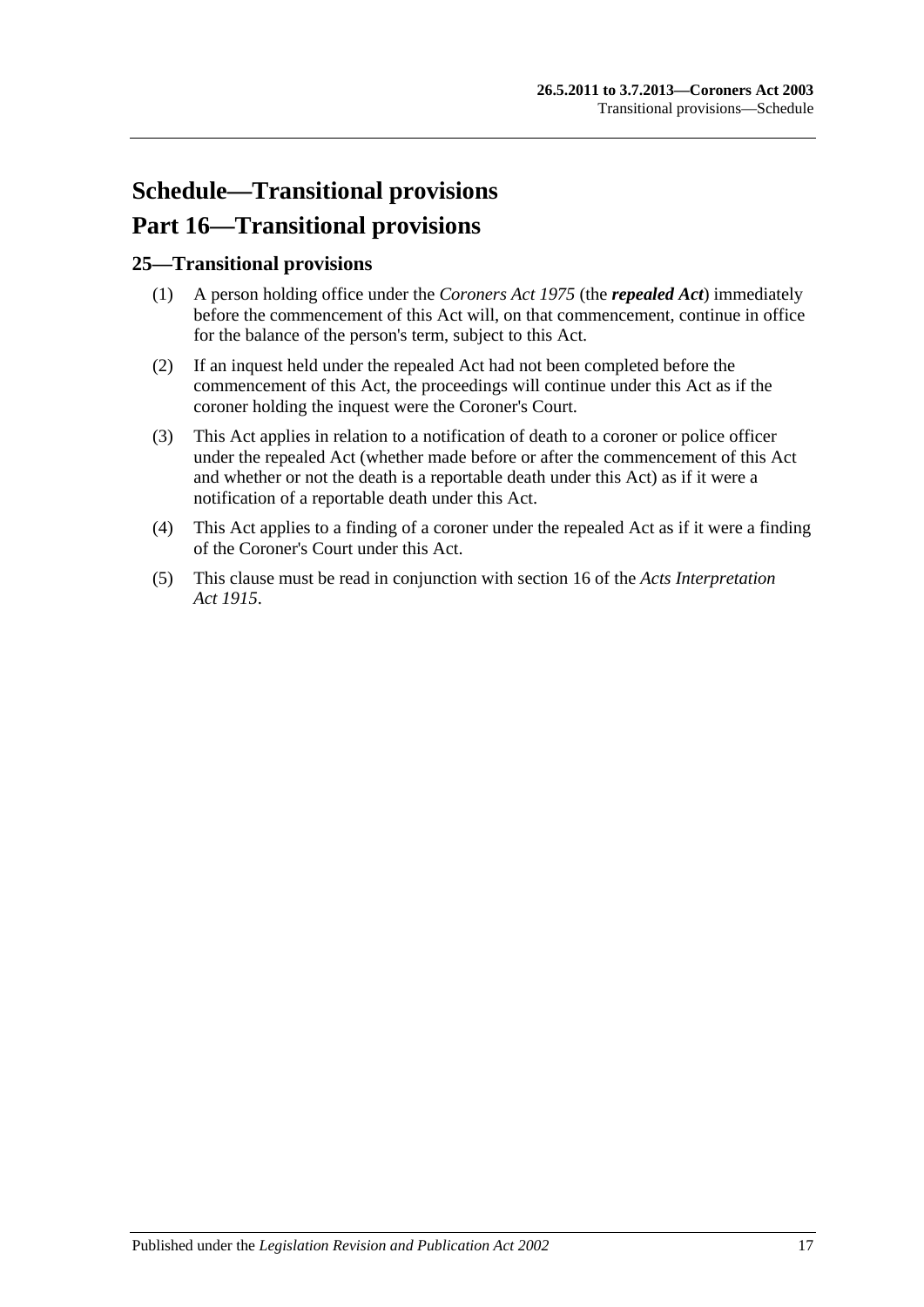# <span id="page-16-0"></span>**Schedule—Transitional provisions Part 16—Transitional provisions**

### <span id="page-16-1"></span>**25—Transitional provisions**

- (1) A person holding office under the *[Coroners Act](http://www.legislation.sa.gov.au/index.aspx?action=legref&type=act&legtitle=Coroners%20Act%201975) 1975* (the *repealed Act*) immediately before the commencement of this Act will, on that commencement, continue in office for the balance of the person's term, subject to this Act.
- (2) If an inquest held under the repealed Act had not been completed before the commencement of this Act, the proceedings will continue under this Act as if the coroner holding the inquest were the Coroner's Court.
- (3) This Act applies in relation to a notification of death to a coroner or police officer under the repealed Act (whether made before or after the commencement of this Act and whether or not the death is a reportable death under this Act) as if it were a notification of a reportable death under this Act.
- (4) This Act applies to a finding of a coroner under the repealed Act as if it were a finding of the Coroner's Court under this Act.
- (5) This clause must be read in conjunction with section 16 of the *[Acts Interpretation](http://www.legislation.sa.gov.au/index.aspx?action=legref&type=act&legtitle=Acts%20Interpretation%20Act%201915)  Act [1915](http://www.legislation.sa.gov.au/index.aspx?action=legref&type=act&legtitle=Acts%20Interpretation%20Act%201915)*.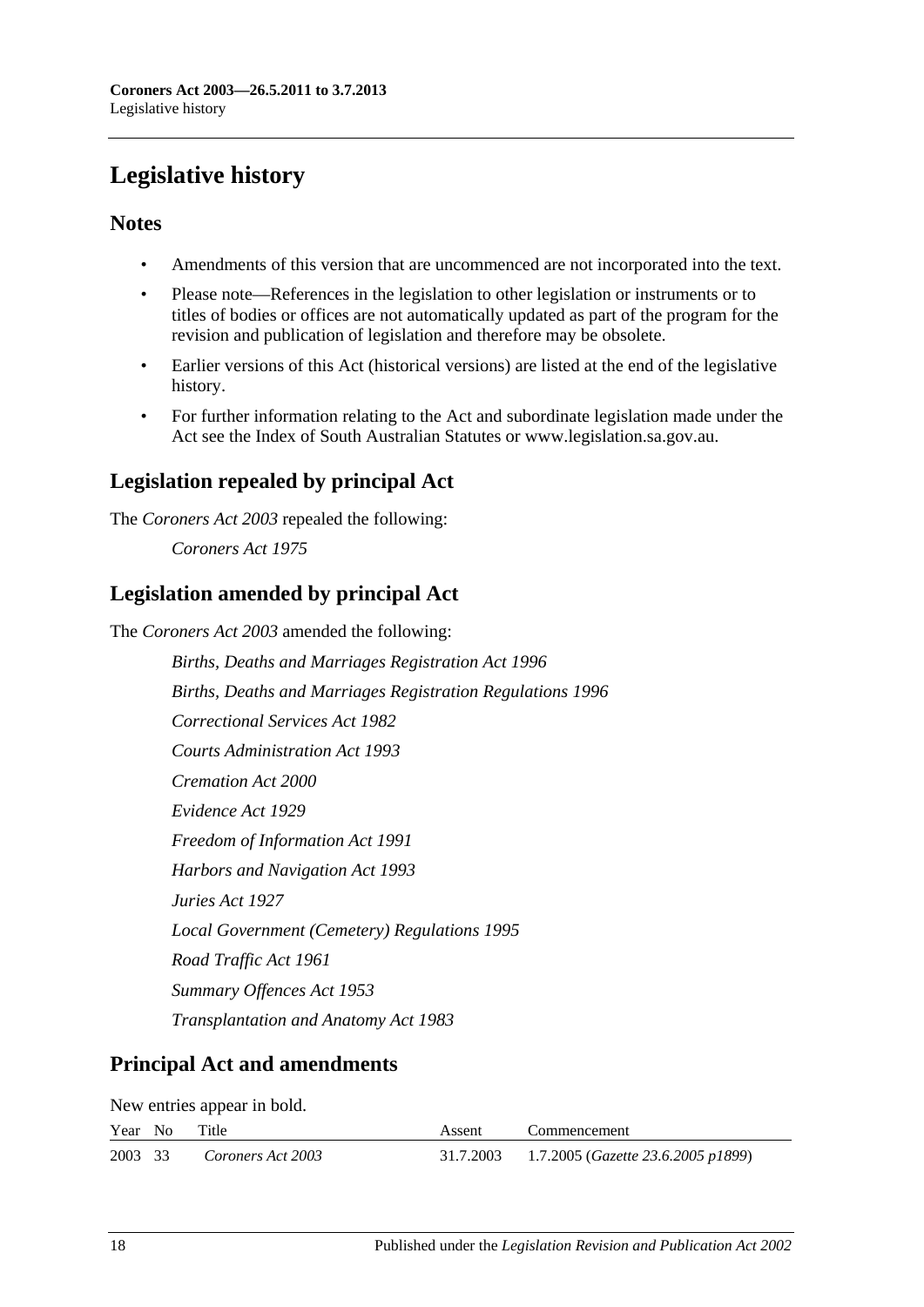# <span id="page-17-0"></span>**Legislative history**

### **Notes**

- Amendments of this version that are uncommenced are not incorporated into the text.
- Please note—References in the legislation to other legislation or instruments or to titles of bodies or offices are not automatically updated as part of the program for the revision and publication of legislation and therefore may be obsolete.
- Earlier versions of this Act (historical versions) are listed at the end of the legislative history.
- For further information relating to the Act and subordinate legislation made under the Act see the Index of South Australian Statutes or www.legislation.sa.gov.au.

# **Legislation repealed by principal Act**

The *Coroners Act 2003* repealed the following:

*Coroners Act 1975*

## **Legislation amended by principal Act**

The *Coroners Act 2003* amended the following:

*Births, Deaths and Marriages Registration Act 1996 Births, Deaths and Marriages Registration Regulations 1996 Correctional Services Act 1982 Courts Administration Act 1993 Cremation Act 2000 Evidence Act 1929 Freedom of Information Act 1991 Harbors and Navigation Act 1993 Juries Act 1927 Local Government (Cemetery) Regulations 1995 Road Traffic Act 1961 Summary Offences Act 1953 Transplantation and Anatomy Act 1983*

# **Principal Act and amendments**

New entries appear in bold.

|         | Year No | Title             | Assent | Commencement                                          |
|---------|---------|-------------------|--------|-------------------------------------------------------|
| 2003 33 |         | Coroners Act 2003 |        | 31.7.2003 1.7.2005 ( <i>Gazette 23.6.2005 p1899</i> ) |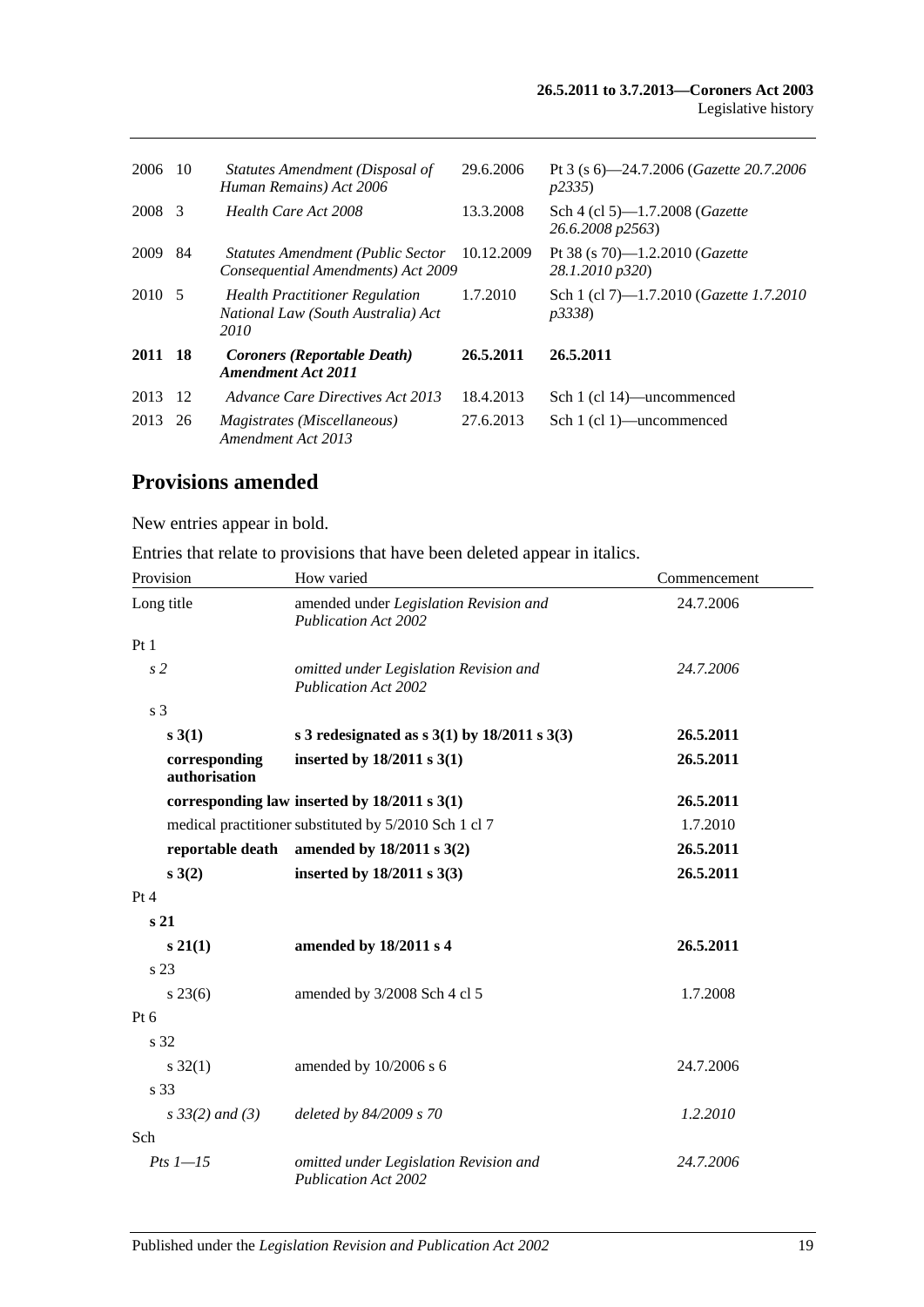| 2006    | -10 | Statutes Amendment (Disposal of<br>Human Remains) Act 2006                          | 29.6.2006  | Pt 3 (s $6$ ) -24.7.2006 ( <i>Gazette</i> 20.7.2006<br>p2335      |
|---------|-----|-------------------------------------------------------------------------------------|------------|-------------------------------------------------------------------|
| 2008    | -3  | Health Care Act 2008                                                                | 13.3.2008  | Sch 4 (cl 5)-1.7.2008 ( <i>Gazette</i><br>26.6.2008 p2563)        |
| 2009    | 84  | <b>Statutes Amendment (Public Sector</b><br>Consequential Amendments) Act 2009      | 10.12.2009 | Pt 38 (s 70)—1.2.2010 ( <i>Gazette</i><br>28.1.2010 p320)         |
| 2010 5  |     | <b>Health Practitioner Regulation</b><br>National Law (South Australia) Act<br>2010 | 1.7.2010   | Sch 1 (cl 7)—1.7.2010 ( <i>Gazette 1.7.2010</i><br><i>p3338</i> ) |
| 2011 18 |     | <b>Coroners (Reportable Death)</b><br><b>Amendment Act 2011</b>                     | 26.5.2011  | 26.5.2011                                                         |
| 2013    | 12  | Advance Care Directives Act 2013                                                    | 18.4.2013  | Sch 1 (cl 14)—uncommenced                                         |
| 2013    | 26  | <i>Magistrates (Miscellaneous)</i><br>Amendment Act 2013                            | 27.6.2013  | Sch 1 (cl 1)—uncommenced                                          |

## **Provisions amended**

New entries appear in bold.

Entries that relate to provisions that have been deleted appear in italics.

| Provision                      | How varied                                                            | Commencement |  |
|--------------------------------|-----------------------------------------------------------------------|--------------|--|
| Long title                     | amended under Legislation Revision and<br><b>Publication Act 2002</b> | 24.7.2006    |  |
| Pt1                            |                                                                       |              |  |
| s <sub>2</sub>                 | omitted under Legislation Revision and<br><b>Publication Act 2002</b> | 24.7.2006    |  |
| s <sub>3</sub>                 |                                                                       |              |  |
| s 3(1)                         | s 3 redesignated as $s$ 3(1) by 18/2011 s 3(3)                        | 26.5.2011    |  |
| corresponding<br>authorisation | inserted by $18/2011$ s $3(1)$                                        | 26.5.2011    |  |
|                                | corresponding law inserted by $18/2011$ s $3(1)$                      | 26.5.2011    |  |
|                                | medical practitioner substituted by 5/2010 Sch 1 cl 7                 | 1.7.2010     |  |
| reportable death               | amended by $18/2011 s 3(2)$                                           | 26.5.2011    |  |
| s(3(2))                        | inserted by $18/2011$ s $3(3)$                                        | 26.5.2011    |  |
| Pt 4                           |                                                                       |              |  |
| s <sub>21</sub>                |                                                                       |              |  |
| $s\,21(1)$                     | amended by 18/2011 s 4                                                | 26.5.2011    |  |
| s <sub>23</sub>                |                                                                       |              |  |
| $s\,23(6)$                     | amended by 3/2008 Sch 4 cl 5                                          | 1.7.2008     |  |
| $Pt\ 6$                        |                                                                       |              |  |
| s 32                           |                                                                       |              |  |
| $s \, 32(1)$                   | amended by 10/2006 s 6                                                | 24.7.2006    |  |
| s 33                           |                                                                       |              |  |
| $s \, 33(2)$ and (3)           | deleted by 84/2009 s 70                                               | 1.2.2010     |  |
| Sch                            |                                                                       |              |  |
| $Pts$ $l$ $-15$                | omitted under Legislation Revision and<br><b>Publication Act 2002</b> | 24.7.2006    |  |